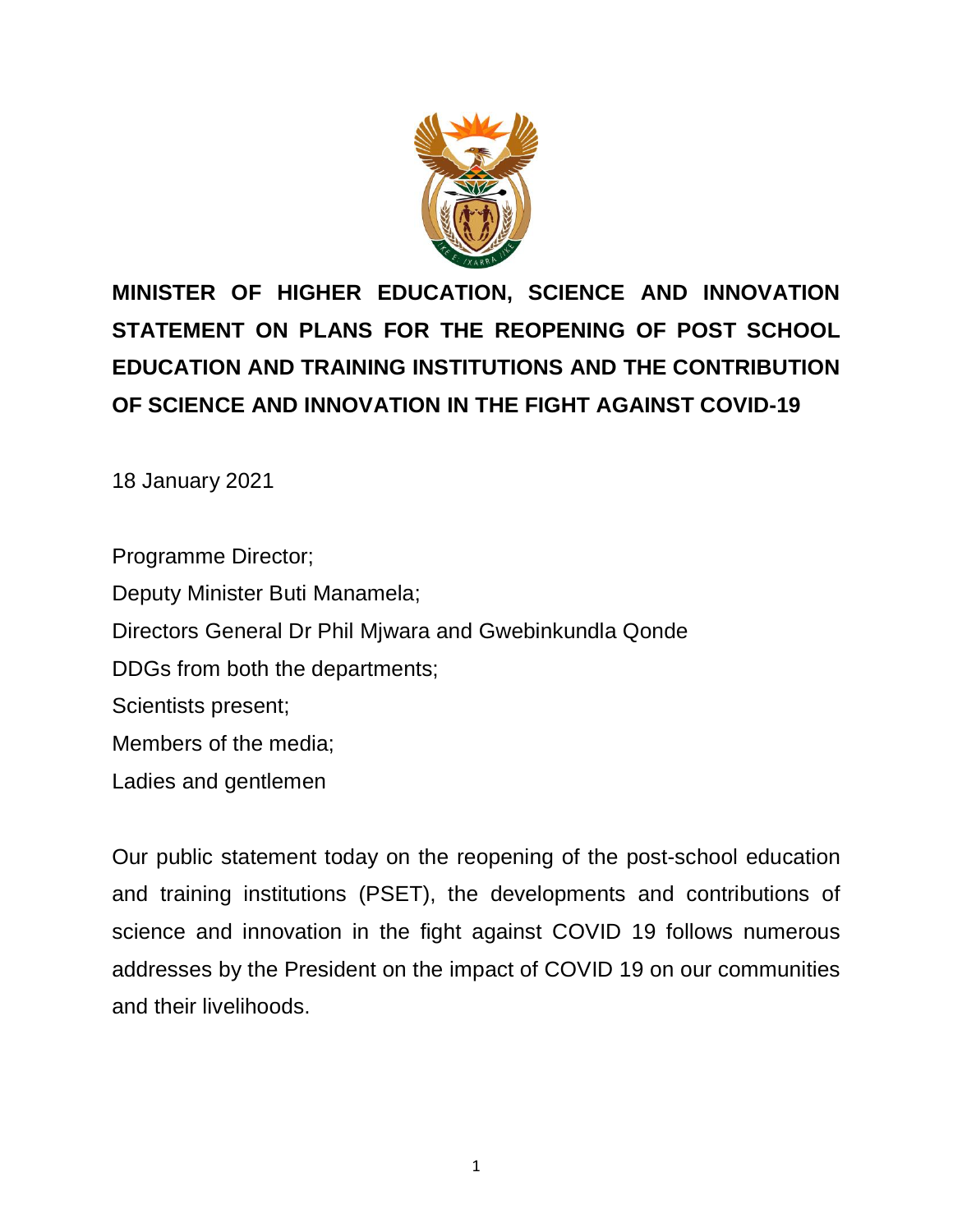

**MINISTER OF HIGHER EDUCATION, SCIENCE AND INNOVATION STATEMENT ON PLANS FOR THE REOPENING OF POST SCHOOL EDUCATION AND TRAINING INSTITUTIONS AND THE CONTRIBUTION OF SCIENCE AND INNOVATION IN THE FIGHT AGAINST COVID-19**

18 January 2021

Programme Director; Deputy Minister Buti Manamela; Directors General Dr Phil Mjwara and Gwebinkundla Qonde DDGs from both the departments; Scientists present; Members of the media; Ladies and gentlemen

Our public statement today on the reopening of the post-school education and training institutions (PSET), the developments and contributions of science and innovation in the fight against COVID 19 follows numerous addresses by the President on the impact of COVID 19 on our communities and their livelihoods.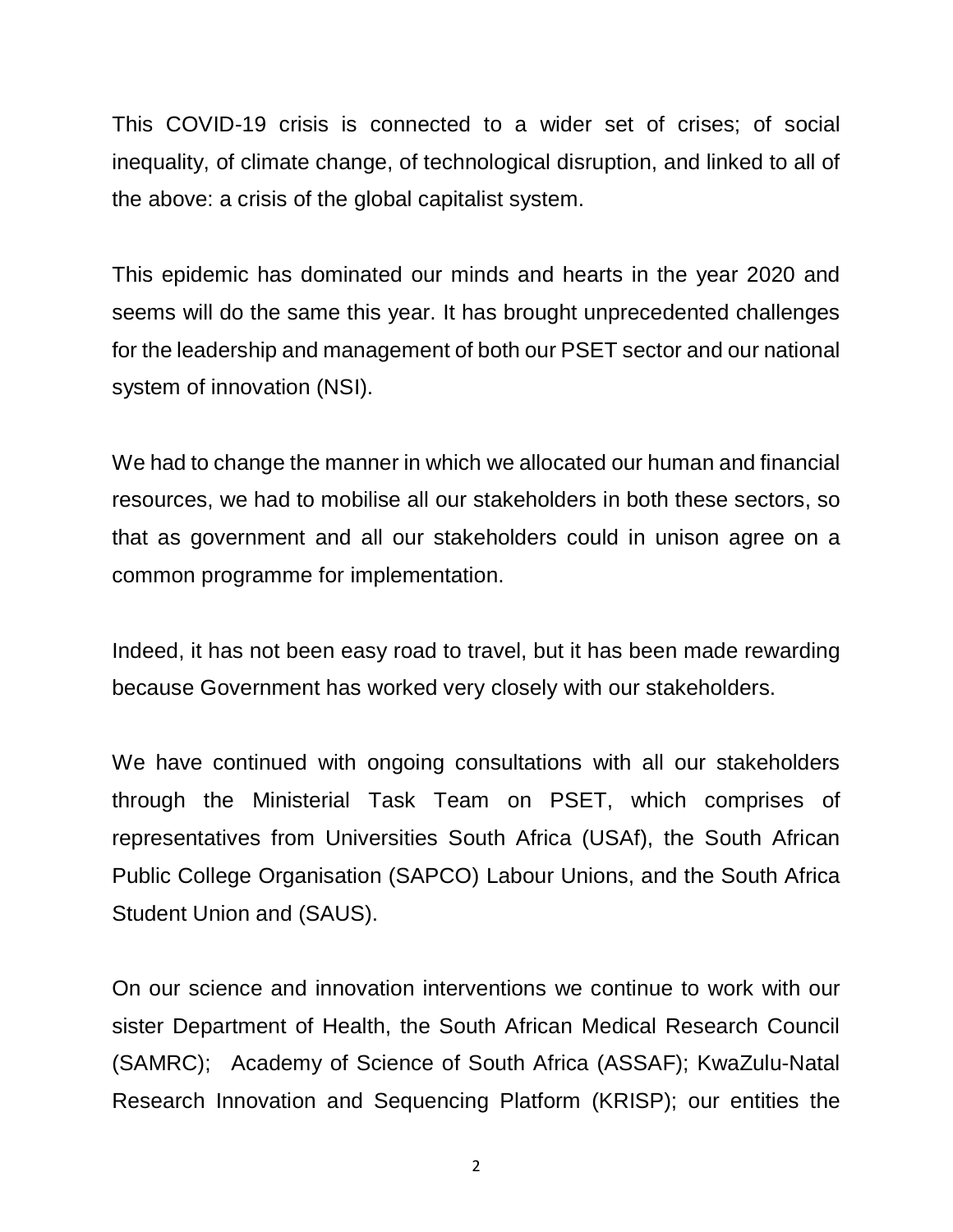This COVID-19 crisis is connected to a wider set of crises; of social inequality, of climate change, of technological disruption, and linked to all of the above: a crisis of the global capitalist system.

This epidemic has dominated our minds and hearts in the year 2020 and seems will do the same this year. It has brought unprecedented challenges for the leadership and management of both our PSET sector and our national system of innovation (NSI).

We had to change the manner in which we allocated our human and financial resources, we had to mobilise all our stakeholders in both these sectors, so that as government and all our stakeholders could in unison agree on a common programme for implementation.

Indeed, it has not been easy road to travel, but it has been made rewarding because Government has worked very closely with our stakeholders.

We have continued with ongoing consultations with all our stakeholders through the Ministerial Task Team on PSET, which comprises of representatives from Universities South Africa (USAf), the South African Public College Organisation (SAPCO) Labour Unions, and the South Africa Student Union and (SAUS).

On our science and innovation interventions we continue to work with our sister Department of Health, the South African Medical Research Council (SAMRC); Academy of Science of South Africa (ASSAF); KwaZulu-Natal Research Innovation and Sequencing Platform (KRISP); our entities the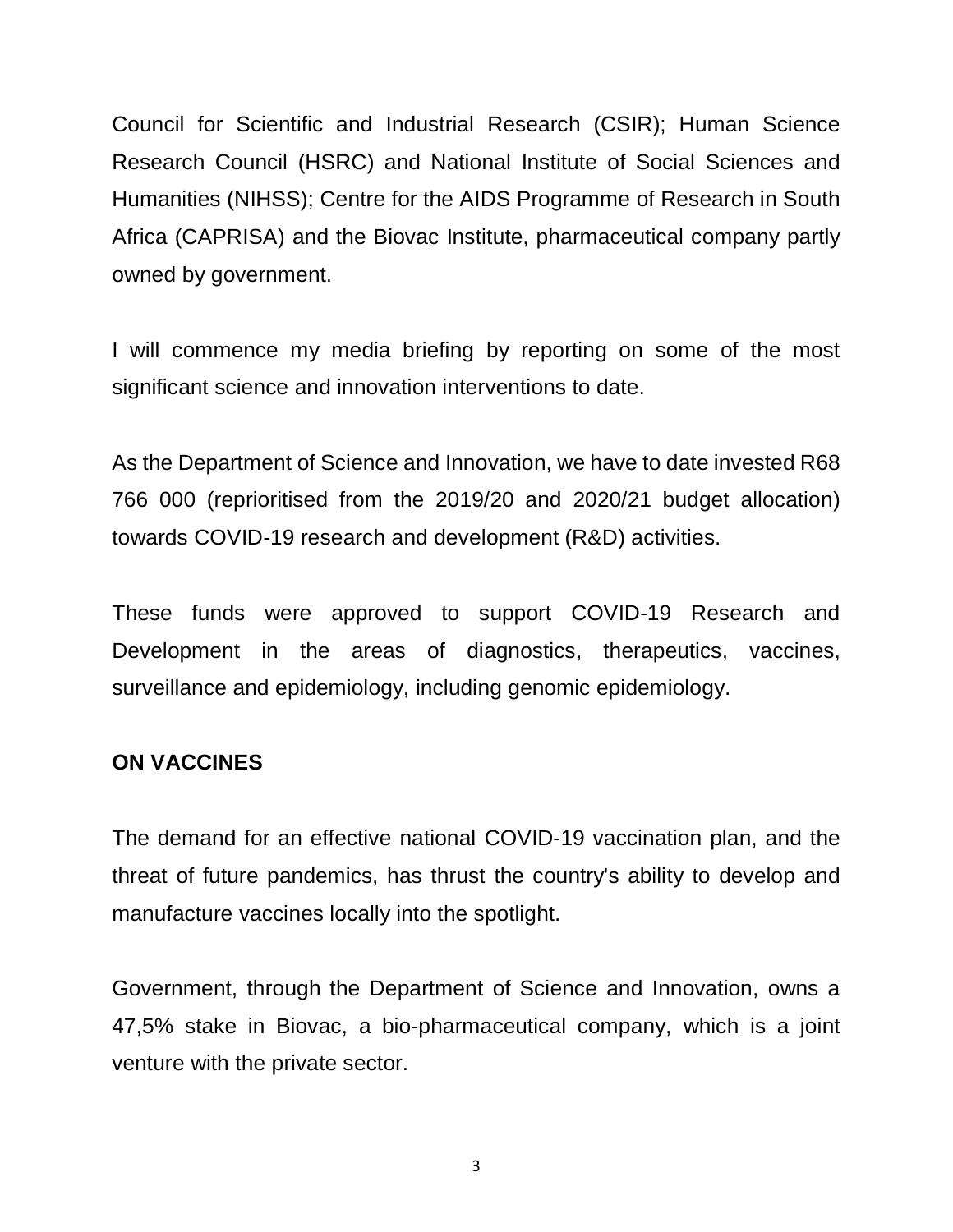Council for Scientific and Industrial Research (CSIR); Human Science Research Council (HSRC) and National Institute of Social Sciences and Humanities (NIHSS); Centre for the AIDS Programme of Research in South Africa (CAPRISA) and the Biovac Institute, pharmaceutical company partly owned by government.

I will commence my media briefing by reporting on some of the most significant science and innovation interventions to date.

As the Department of Science and Innovation, we have to date invested R68 766 000 (reprioritised from the 2019/20 and 2020/21 budget allocation) towards COVID-19 research and development (R&D) activities.

These funds were approved to support COVID-19 Research and Development in the areas of diagnostics, therapeutics, vaccines, surveillance and epidemiology, including genomic epidemiology.

## **ON VACCINES**

The demand for an effective national COVID-19 vaccination plan, and the threat of future pandemics, has thrust the country's ability to develop and manufacture vaccines locally into the spotlight.

Government, through the Department of Science and Innovation, owns a 47,5% stake in Biovac, a bio-pharmaceutical company, which is a joint venture with the private sector.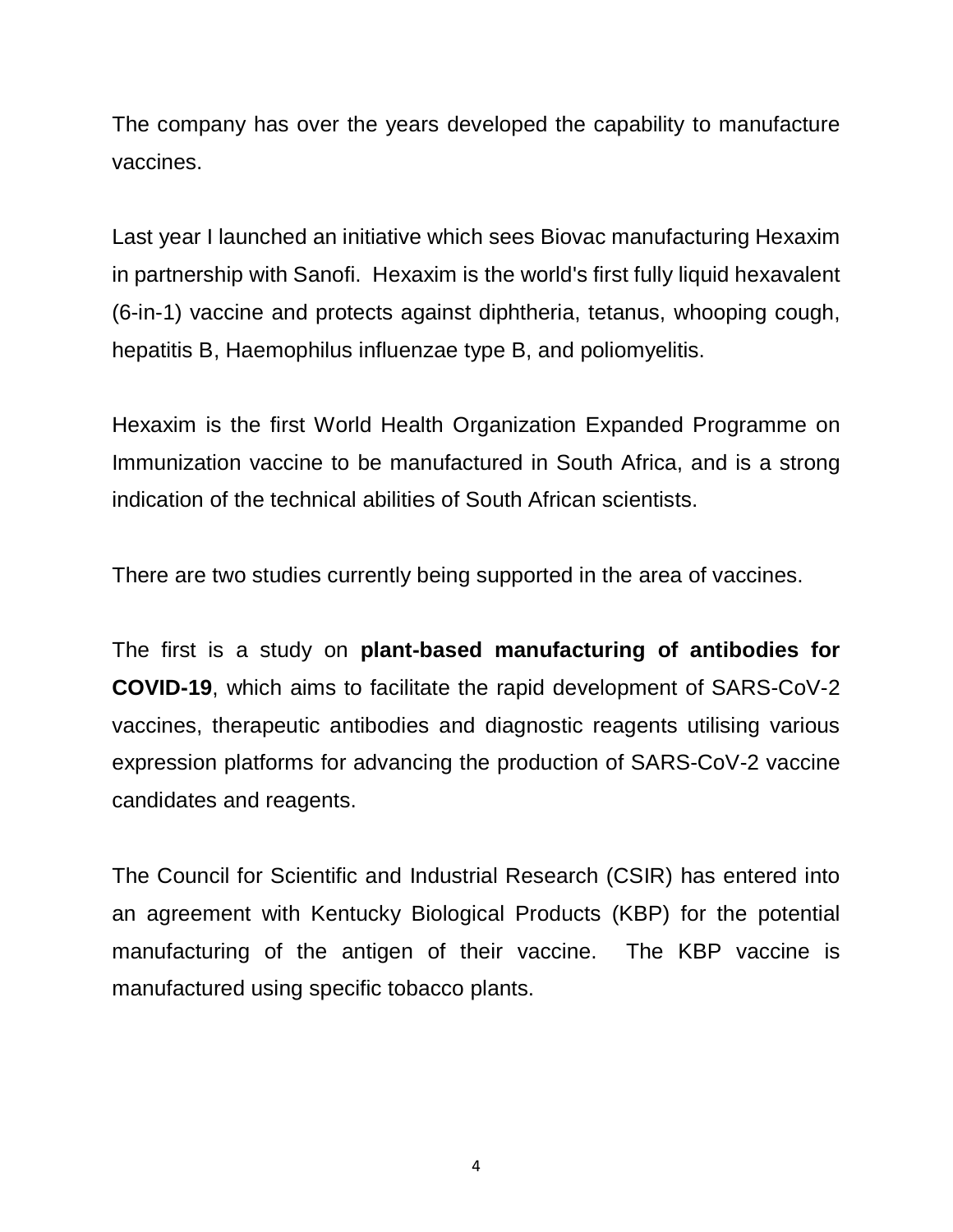The company has over the years developed the capability to manufacture vaccines.

Last year I launched an initiative which sees Biovac manufacturing Hexaxim in partnership with Sanofi. Hexaxim is the world's first fully liquid hexavalent (6-in-1) vaccine and protects against diphtheria, tetanus, whooping cough, hepatitis B, Haemophilus influenzae type B, and poliomyelitis.

Hexaxim is the first World Health Organization Expanded Programme on Immunization vaccine to be manufactured in South Africa, and is a strong indication of the technical abilities of South African scientists.

There are two studies currently being supported in the area of vaccines.

The first is a study on **plant-based manufacturing of antibodies for COVID-19**, which aims to facilitate the rapid development of SARS-CoV-2 vaccines, therapeutic antibodies and diagnostic reagents utilising various expression platforms for advancing the production of SARS-CoV-2 vaccine candidates and reagents.

The Council for Scientific and Industrial Research (CSIR) has entered into an agreement with Kentucky Biological Products (KBP) for the potential manufacturing of the antigen of their vaccine. The KBP vaccine is manufactured using specific tobacco plants.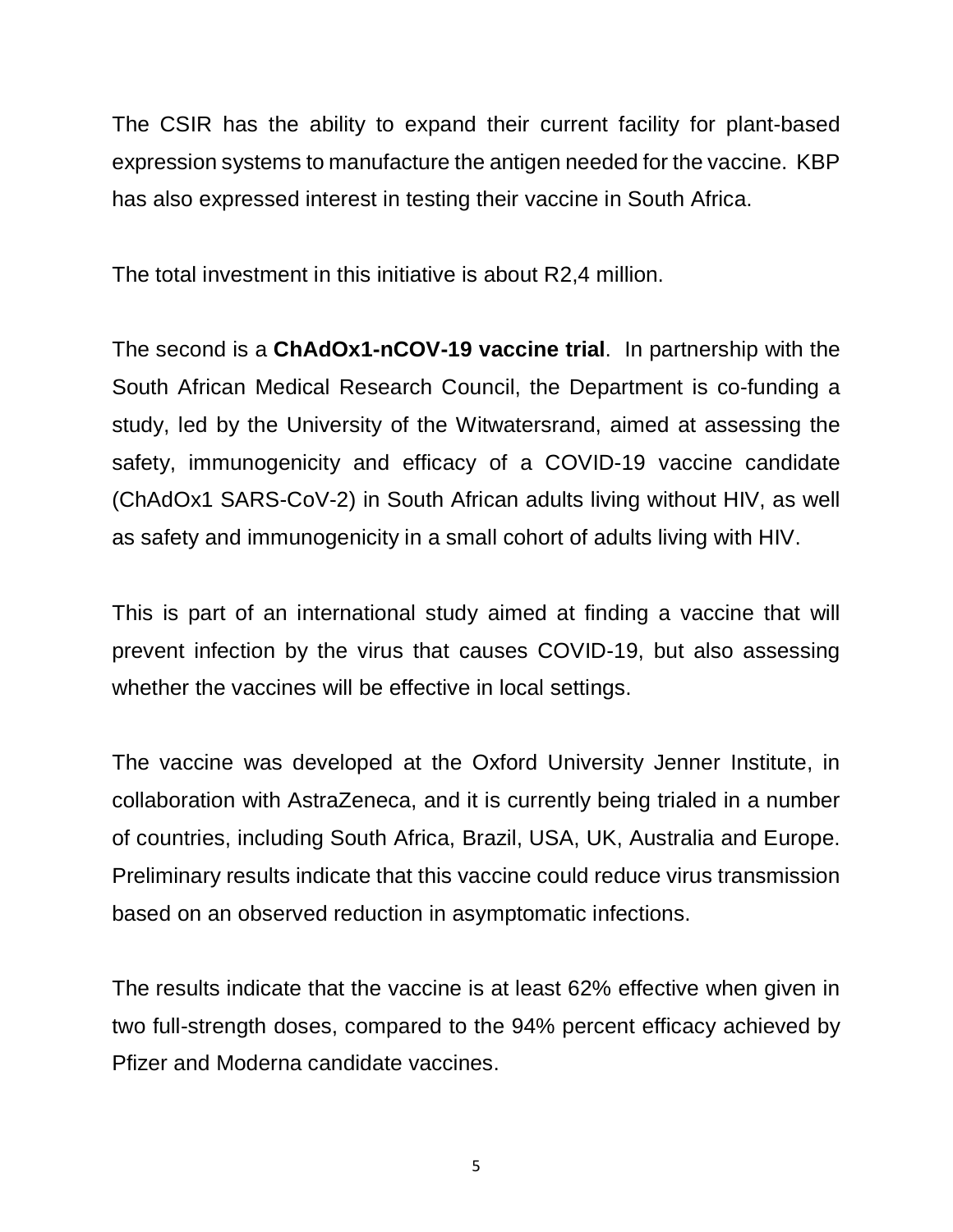The CSIR has the ability to expand their current facility for plant-based expression systems to manufacture the antigen needed for the vaccine. KBP has also expressed interest in testing their vaccine in South Africa.

The total investment in this initiative is about R2,4 million.

The second is a **ChAdOx1-nCOV-19 vaccine trial**. In partnership with the South African Medical Research Council, the Department is co-funding a study, led by the University of the Witwatersrand, aimed at assessing the safety, immunogenicity and efficacy of a COVID-19 vaccine candidate (ChAdOx1 SARS-CoV-2) in South African adults living without HIV, as well as safety and immunogenicity in a small cohort of adults living with HIV.

This is part of an international study aimed at finding a vaccine that will prevent infection by the virus that causes COVID-19, but also assessing whether the vaccines will be effective in local settings.

The vaccine was developed at the Oxford University Jenner Institute, in collaboration with AstraZeneca, and it is currently being trialed in a number of countries, including South Africa, Brazil, USA, UK, Australia and Europe. Preliminary results indicate that this vaccine could reduce virus transmission based on an observed reduction in asymptomatic infections.

The results indicate that the vaccine is at least 62% effective when given in two full-strength doses, compared to the 94% percent efficacy achieved by Pfizer and Moderna candidate vaccines.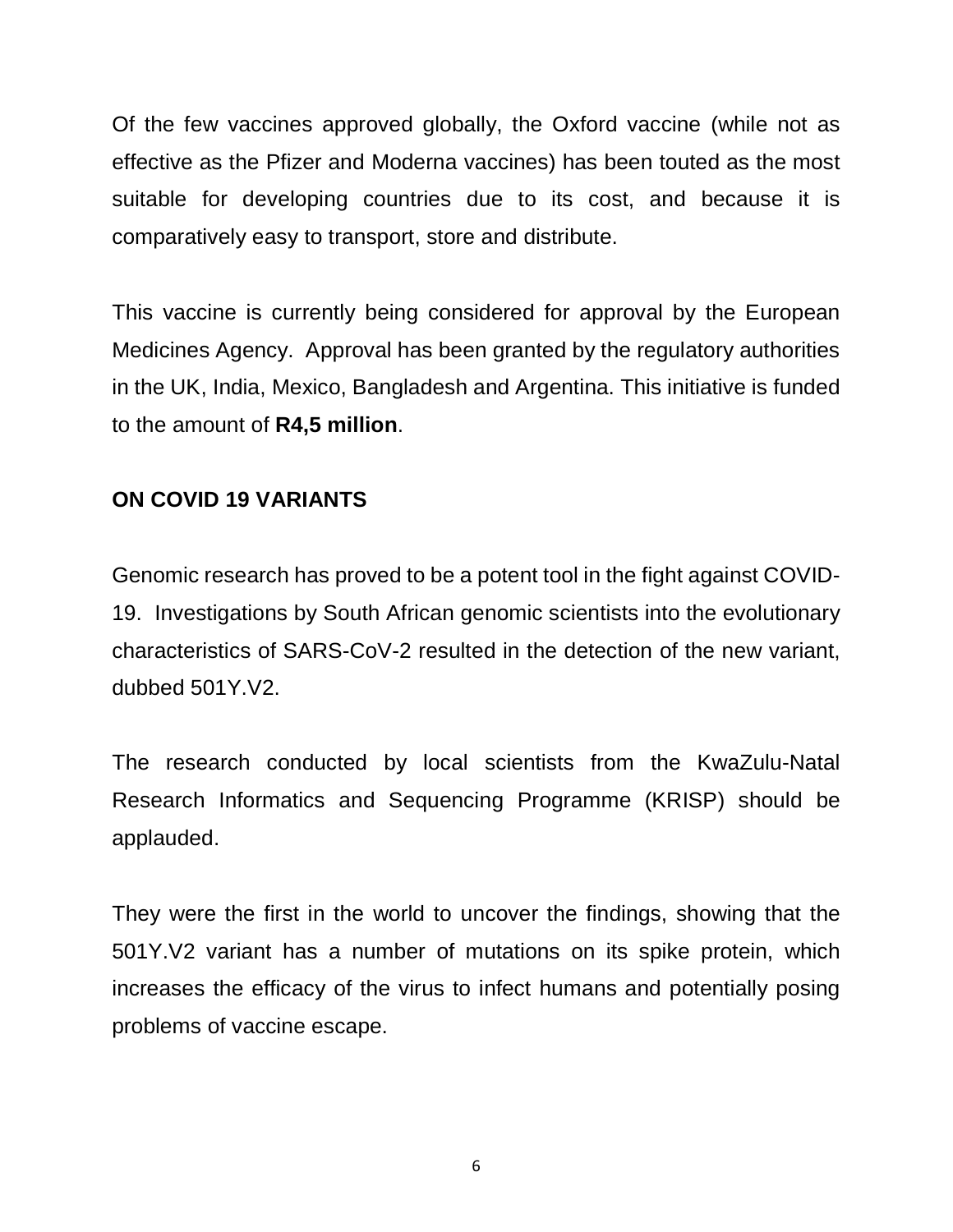Of the few vaccines approved globally, the Oxford vaccine (while not as effective as the Pfizer and Moderna vaccines) has been touted as the most suitable for developing countries due to its cost, and because it is comparatively easy to transport, store and distribute.

This vaccine is currently being considered for approval by the European Medicines Agency. Approval has been granted by the regulatory authorities in the UK, India, Mexico, Bangladesh and Argentina. This initiative is funded to the amount of **R4,5 million**.

# **ON COVID 19 VARIANTS**

Genomic research has proved to be a potent tool in the fight against COVID-19. Investigations by South African genomic scientists into the evolutionary characteristics of SARS-CoV-2 resulted in the detection of the new variant, dubbed 501Y.V2.

The research conducted by local scientists from the KwaZulu-Natal Research Informatics and Sequencing Programme (KRISP) should be applauded.

They were the first in the world to uncover the findings, showing that the 501Y.V2 variant has a number of mutations on its spike protein, which increases the efficacy of the virus to infect humans and potentially posing problems of vaccine escape.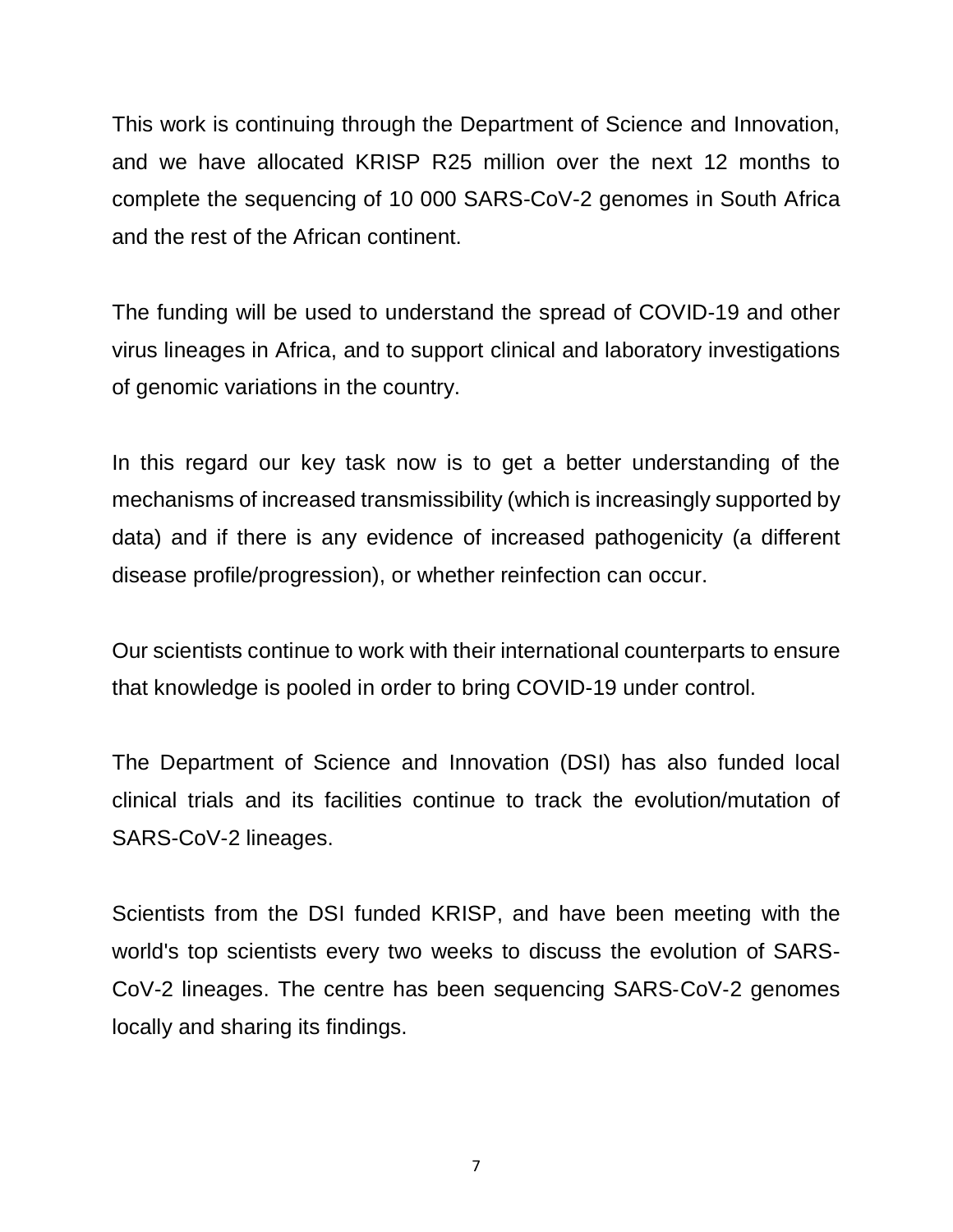This work is continuing through the Department of Science and Innovation, and we have allocated KRISP R25 million over the next 12 months to complete the sequencing of 10 000 SARS-CoV-2 genomes in South Africa and the rest of the African continent.

The funding will be used to understand the spread of COVID-19 and other virus lineages in Africa, and to support clinical and laboratory investigations of genomic variations in the country.

In this regard our key task now is to get a better understanding of the mechanisms of increased transmissibility (which is increasingly supported by data) and if there is any evidence of increased pathogenicity (a different disease profile/progression), or whether reinfection can occur.

Our scientists continue to work with their international counterparts to ensure that knowledge is pooled in order to bring COVID-19 under control.

The Department of Science and Innovation (DSI) has also funded local clinical trials and its facilities continue to track the evolution/mutation of SARS-CoV-2 lineages.

Scientists from the DSI funded KRISP, and have been meeting with the world's top scientists every two weeks to discuss the evolution of SARS-CoV-2 lineages. The centre has been sequencing SARS‑CoV‑2 genomes locally and sharing its findings.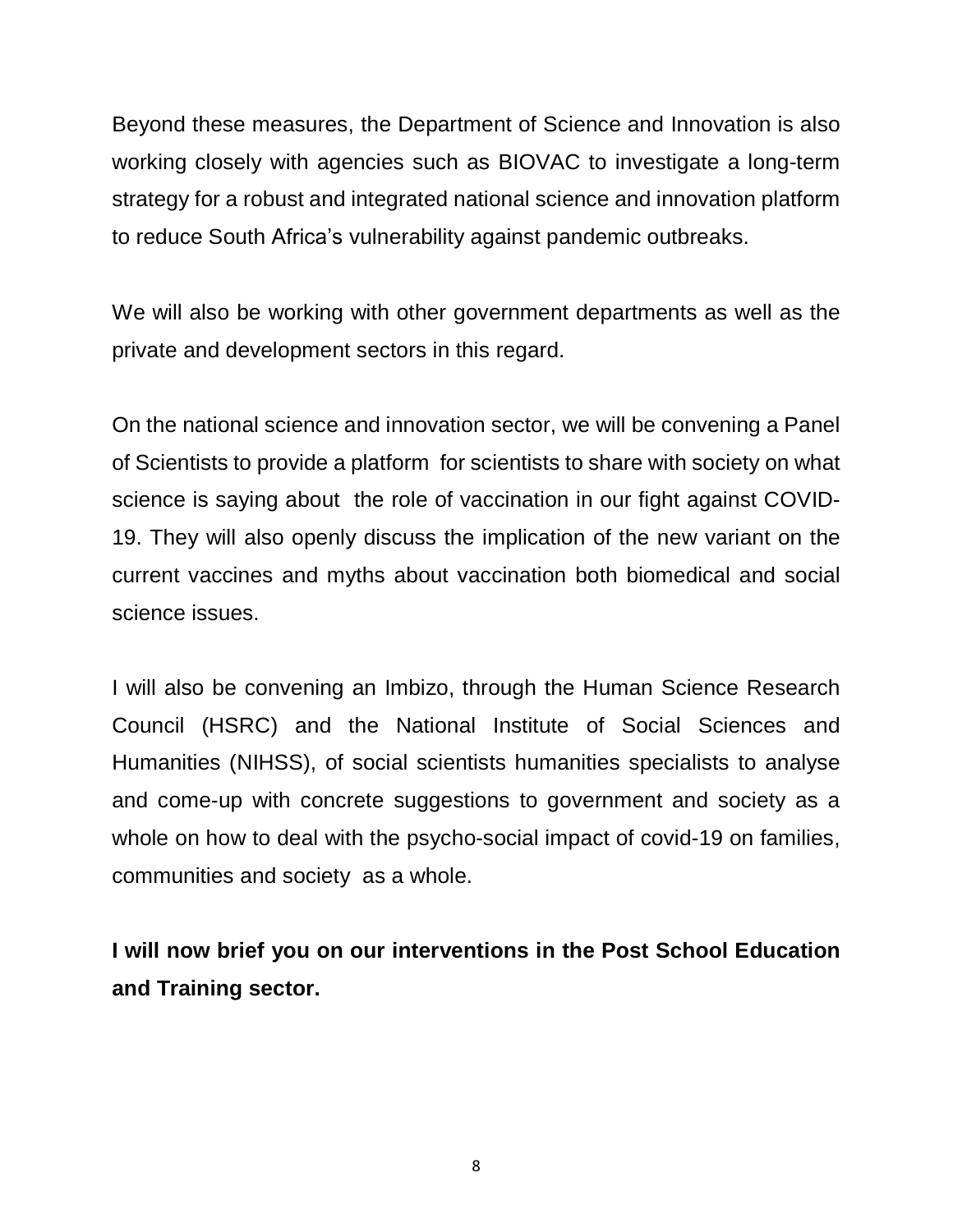Beyond these measures, the Department of Science and Innovation is also working closely with agencies such as BIOVAC to investigate a long-term strategy for a robust and integrated national science and innovation platform to reduce South Africa's vulnerability against pandemic outbreaks.

We will also be working with other government departments as well as the private and development sectors in this regard.

On the national science and innovation sector, we will be convening a Panel of Scientists to provide a platform for scientists to share with society on what science is saying about the role of vaccination in our fight against COVID-19. They will also openly discuss the implication of the new variant on the current vaccines and myths about vaccination both biomedical and social science issues.

I will also be convening an Imbizo, through the Human Science Research Council (HSRC) and the National Institute of Social Sciences and Humanities (NIHSS), of social scientists humanities specialists to analyse and come-up with concrete suggestions to government and society as a whole on how to deal with the psycho-social impact of covid-19 on families, communities and society as a whole.

**I will now brief you on our interventions in the Post School Education and Training sector.**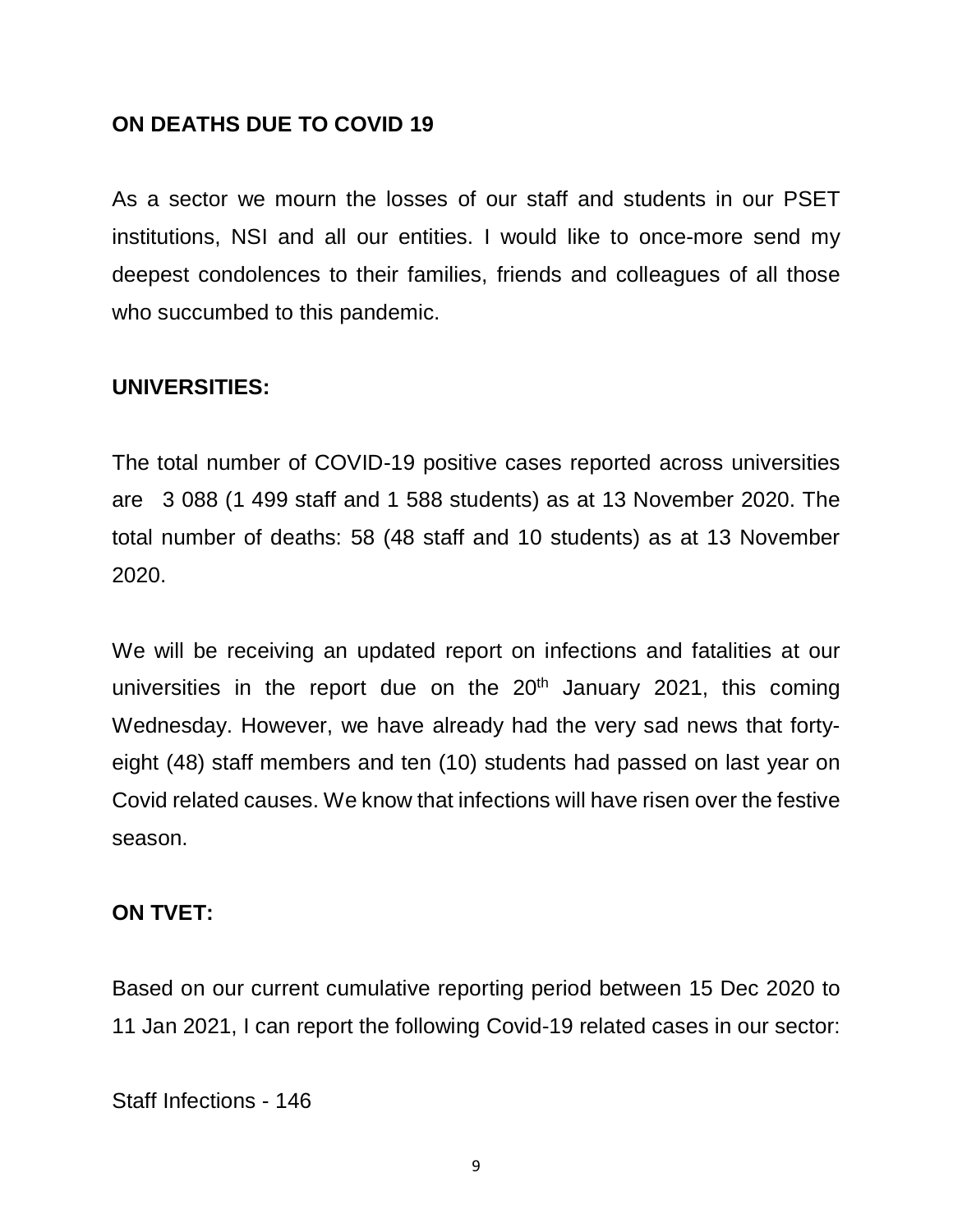## **ON DEATHS DUE TO COVID 19**

As a sector we mourn the losses of our staff and students in our PSET institutions, NSI and all our entities. I would like to once-more send my deepest condolences to their families, friends and colleagues of all those who succumbed to this pandemic.

## **UNIVERSITIES:**

The total number of COVID-19 positive cases reported across universities are 3 088 (1 499 staff and 1 588 students) as at 13 November 2020. The total number of deaths: 58 (48 staff and 10 students) as at 13 November 2020.

We will be receiving an updated report on infections and fatalities at our universities in the report due on the  $20<sup>th</sup>$  January 2021, this coming Wednesday. However, we have already had the very sad news that fortyeight (48) staff members and ten (10) students had passed on last year on Covid related causes. We know that infections will have risen over the festive season.

#### **ON TVET:**

Based on our current cumulative reporting period between 15 Dec 2020 to 11 Jan 2021, I can report the following Covid-19 related cases in our sector:

Staff Infections - 146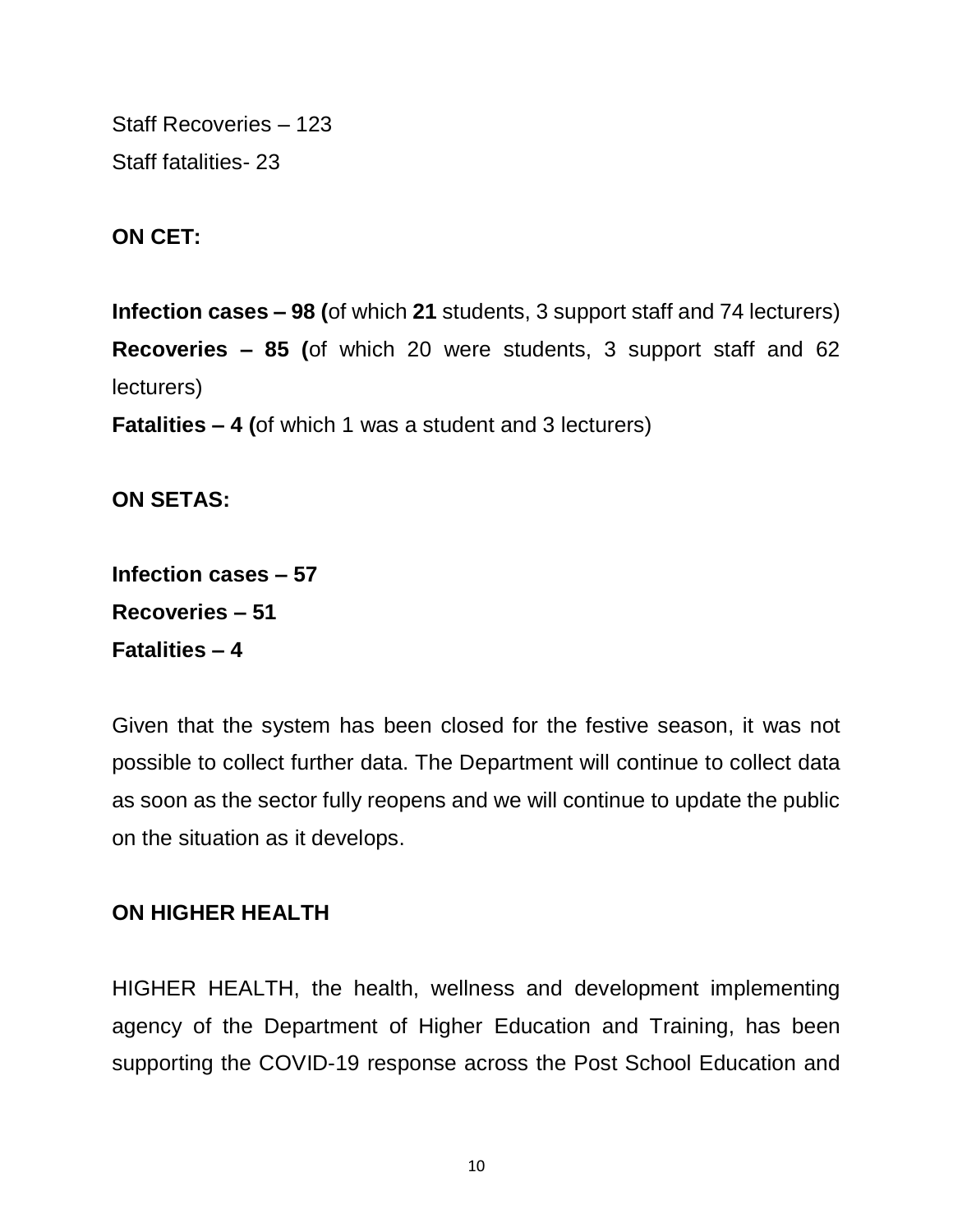Staff Recoveries – 123 Staff fatalities- 23

**ON CET:**

**Infection cases – 98 (**of which **21** students, 3 support staff and 74 lecturers) **Recoveries – 85 (**of which 20 were students, 3 support staff and 62 lecturers) **Fatalities – 4 (**of which 1 was a student and 3 lecturers)

**ON SETAS:**

**Infection cases – 57 Recoveries – 51 Fatalities – 4**

Given that the system has been closed for the festive season, it was not possible to collect further data. The Department will continue to collect data as soon as the sector fully reopens and we will continue to update the public on the situation as it develops.

## **ON HIGHER HEALTH**

HIGHER HEALTH, the health, wellness and development implementing agency of the Department of Higher Education and Training, has been supporting the COVID-19 response across the Post School Education and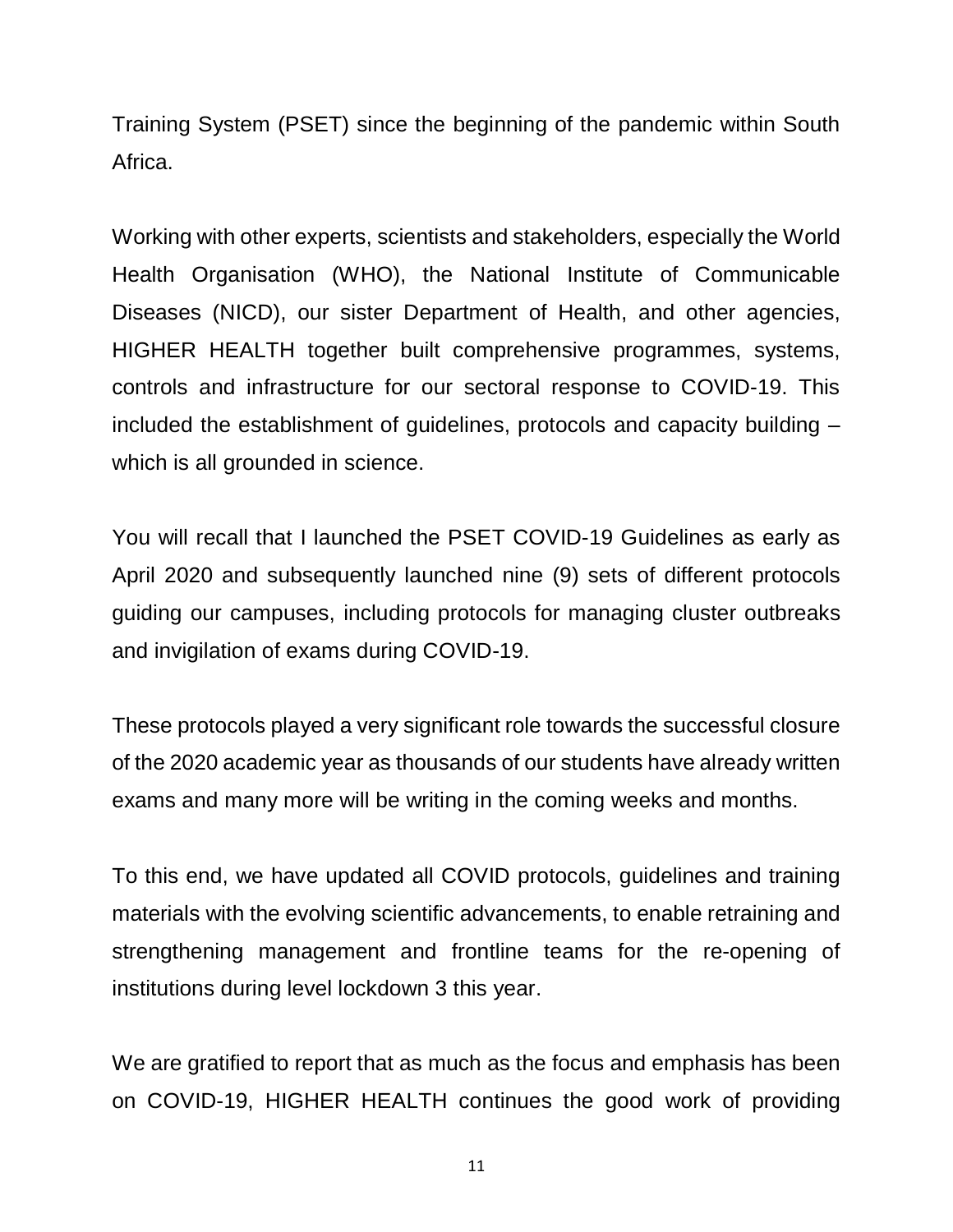Training System (PSET) since the beginning of the pandemic within South Africa.

Working with other experts, scientists and stakeholders, especially the World Health Organisation (WHO), the National Institute of Communicable Diseases (NICD), our sister Department of Health, and other agencies, HIGHER HEALTH together built comprehensive programmes, systems, controls and infrastructure for our sectoral response to COVID-19. This included the establishment of guidelines, protocols and capacity building – which is all grounded in science.

You will recall that I launched the PSET COVID-19 Guidelines as early as April 2020 and subsequently launched nine (9) sets of different protocols guiding our campuses, including protocols for managing cluster outbreaks and invigilation of exams during COVID-19.

These protocols played a very significant role towards the successful closure of the 2020 academic year as thousands of our students have already written exams and many more will be writing in the coming weeks and months.

To this end, we have updated all COVID protocols, guidelines and training materials with the evolving scientific advancements, to enable retraining and strengthening management and frontline teams for the re-opening of institutions during level lockdown 3 this year.

We are gratified to report that as much as the focus and emphasis has been on COVID-19, HIGHER HEALTH continues the good work of providing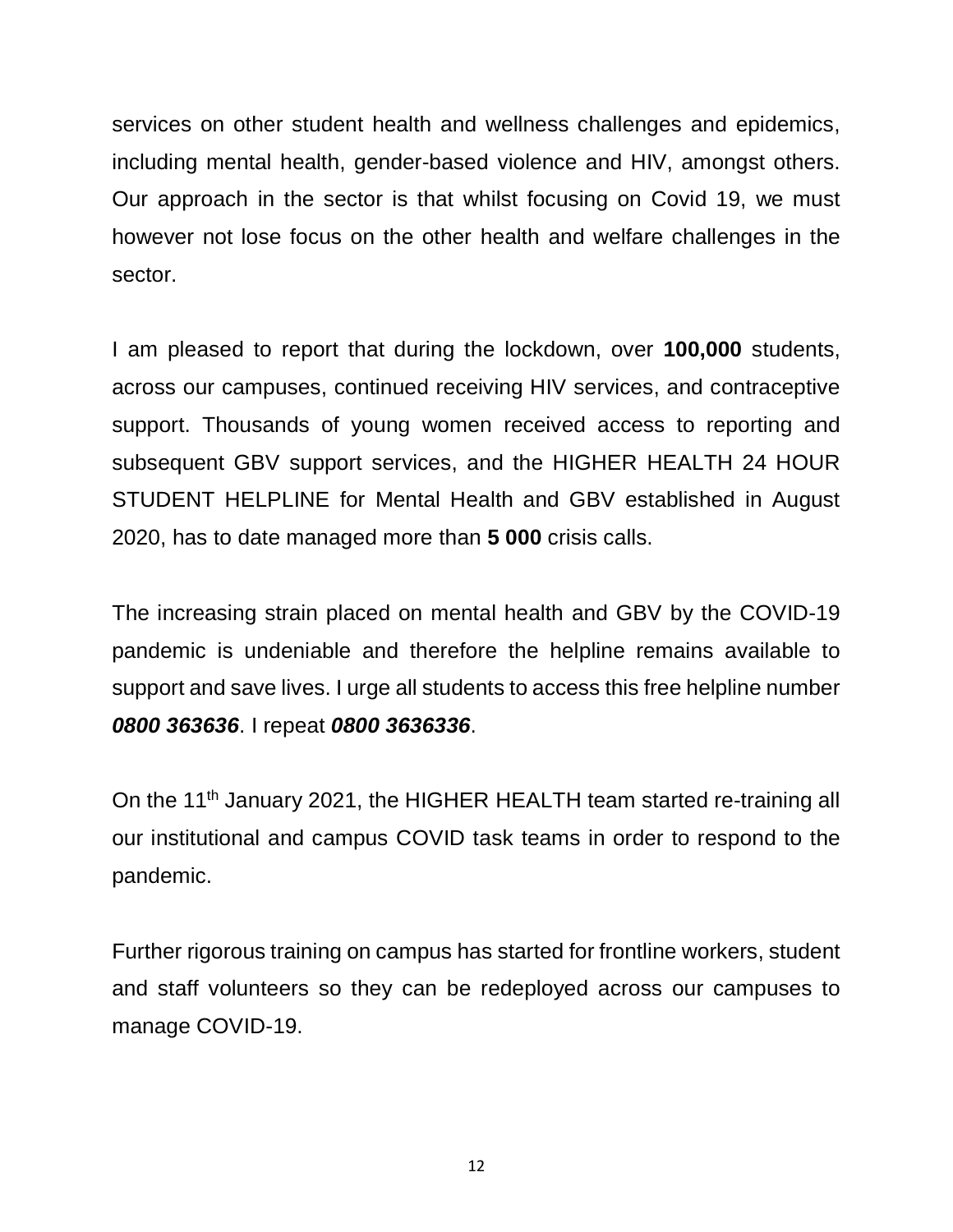services on other student health and wellness challenges and epidemics, including mental health, gender-based violence and HIV, amongst others. Our approach in the sector is that whilst focusing on Covid 19, we must however not lose focus on the other health and welfare challenges in the sector.

I am pleased to report that during the lockdown, over **100,000** students, across our campuses, continued receiving HIV services, and contraceptive support. Thousands of young women received access to reporting and subsequent GBV support services, and the HIGHER HEALTH 24 HOUR STUDENT HELPLINE for Mental Health and GBV established in August 2020, has to date managed more than **5 000** crisis calls.

The increasing strain placed on mental health and GBV by the COVID-19 pandemic is undeniable and therefore the helpline remains available to support and save lives. I urge all students to access this free helpline number *0800 363636*. I repeat *0800 3636336*.

On the 11<sup>th</sup> January 2021, the HIGHER HEALTH team started re-training all our institutional and campus COVID task teams in order to respond to the pandemic.

Further rigorous training on campus has started for frontline workers, student and staff volunteers so they can be redeployed across our campuses to manage COVID-19.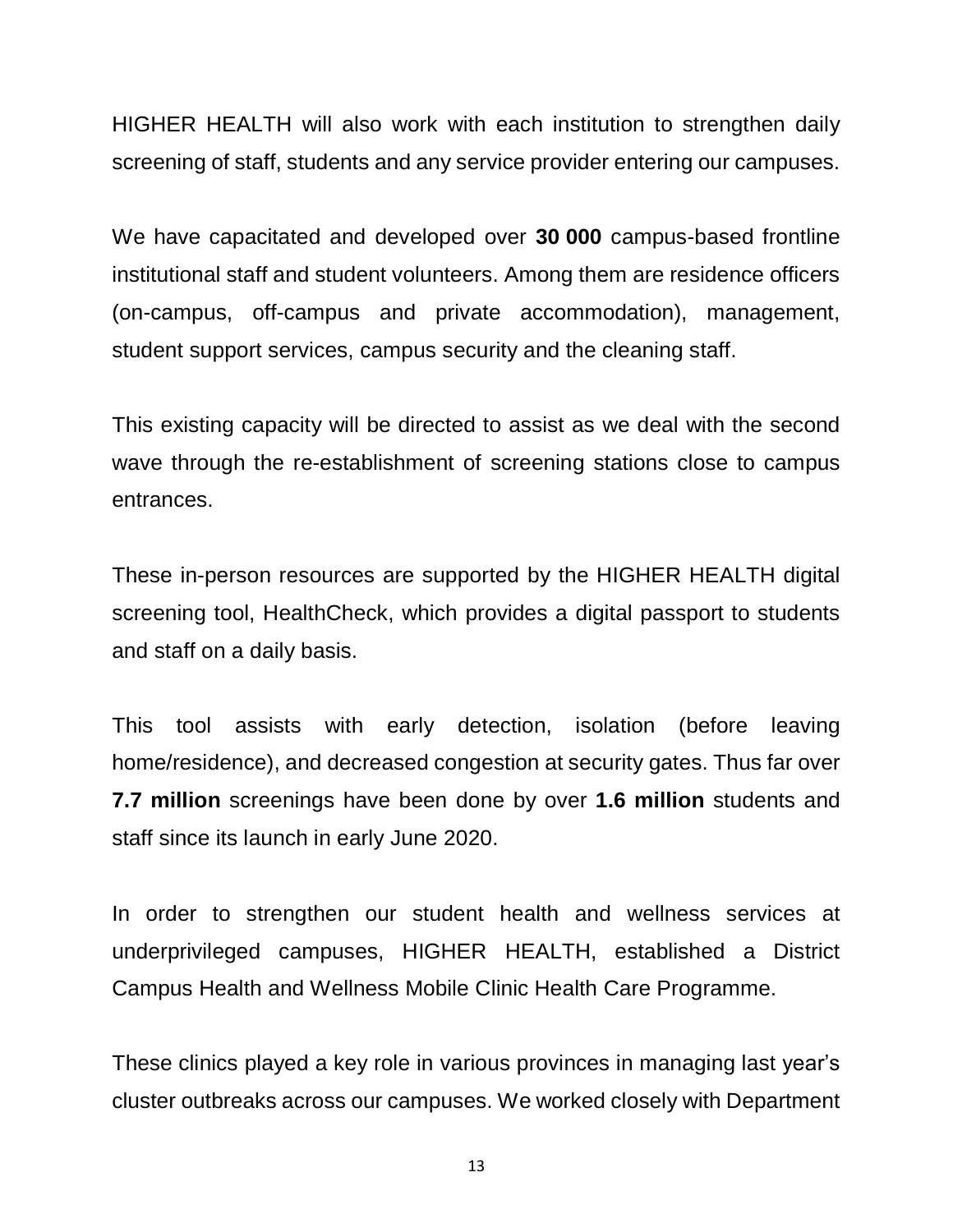HIGHER HEALTH will also work with each institution to strengthen daily screening of staff, students and any service provider entering our campuses.

We have capacitated and developed over **30 000** campus-based frontline institutional staff and student volunteers. Among them are residence officers (on-campus, off-campus and private accommodation), management, student support services, campus security and the cleaning staff.

This existing capacity will be directed to assist as we deal with the second wave through the re-establishment of screening stations close to campus entrances.

These in-person resources are supported by the HIGHER HEALTH digital screening tool, HealthCheck, which provides a digital passport to students and staff on a daily basis.

This tool assists with early detection, isolation (before leaving home/residence), and decreased congestion at security gates. Thus far over **7.7 million** screenings have been done by over **1.6 million** students and staff since its launch in early June 2020.

In order to strengthen our student health and wellness services at underprivileged campuses, HIGHER HEALTH, established a District Campus Health and Wellness Mobile Clinic Health Care Programme.

These clinics played a key role in various provinces in managing last year's cluster outbreaks across our campuses. We worked closely with Department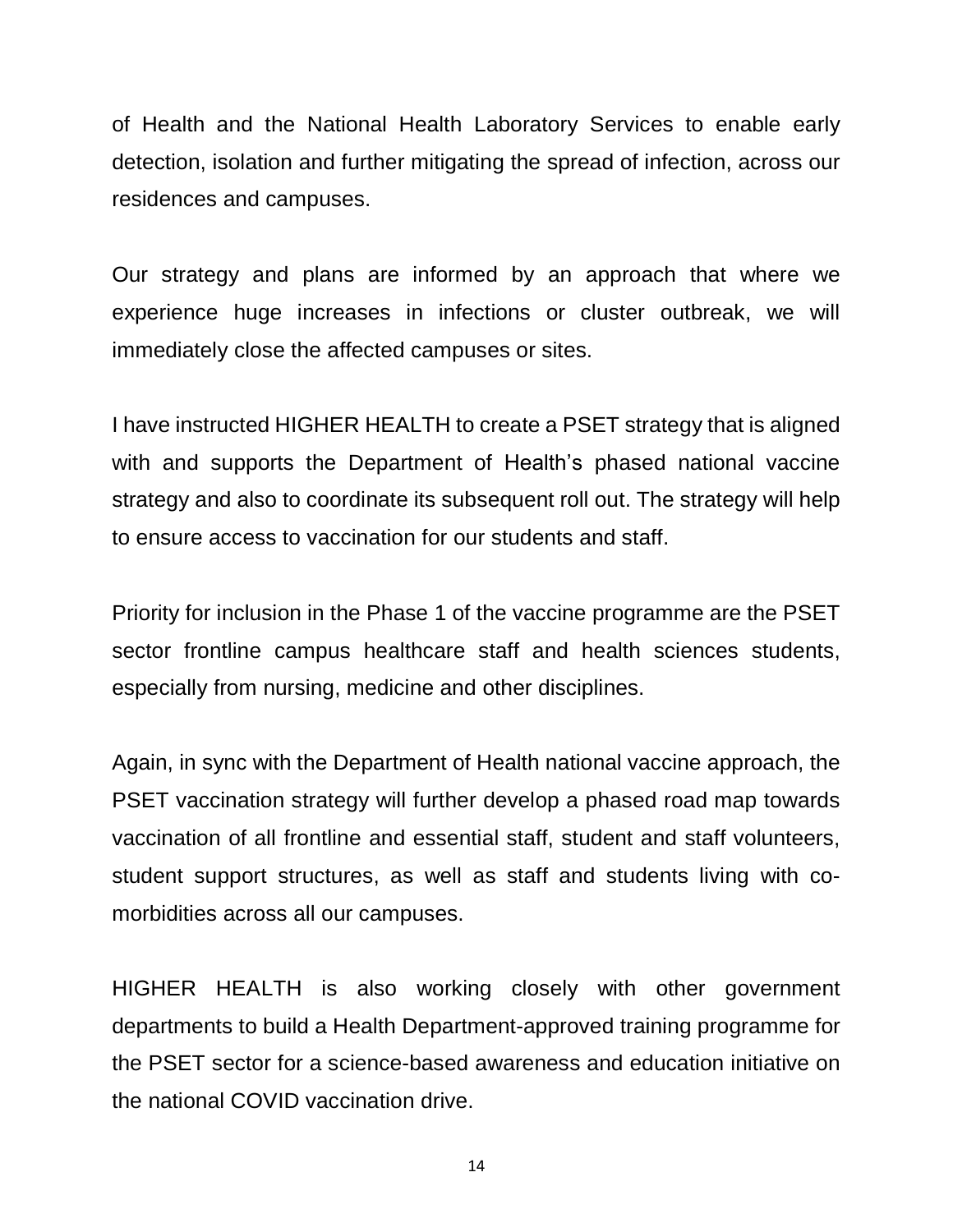of Health and the National Health Laboratory Services to enable early detection, isolation and further mitigating the spread of infection, across our residences and campuses.

Our strategy and plans are informed by an approach that where we experience huge increases in infections or cluster outbreak, we will immediately close the affected campuses or sites.

I have instructed HIGHER HEALTH to create a PSET strategy that is aligned with and supports the Department of Health's phased national vaccine strategy and also to coordinate its subsequent roll out. The strategy will help to ensure access to vaccination for our students and staff.

Priority for inclusion in the Phase 1 of the vaccine programme are the PSET sector frontline campus healthcare staff and health sciences students, especially from nursing, medicine and other disciplines.

Again, in sync with the Department of Health national vaccine approach, the PSET vaccination strategy will further develop a phased road map towards vaccination of all frontline and essential staff, student and staff volunteers, student support structures, as well as staff and students living with comorbidities across all our campuses.

HIGHER HEALTH is also working closely with other government departments to build a Health Department-approved training programme for the PSET sector for a science-based awareness and education initiative on the national COVID vaccination drive.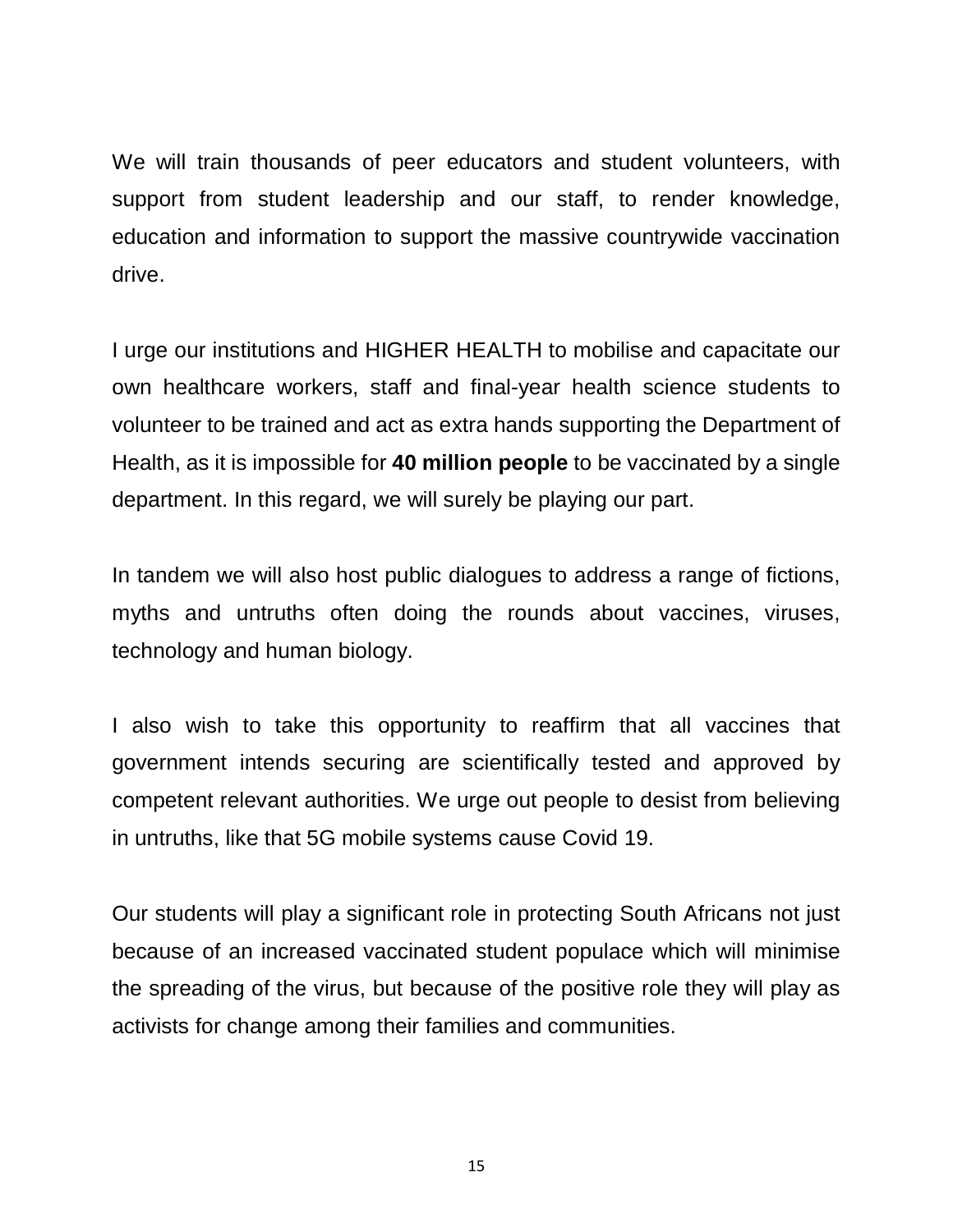We will train thousands of peer educators and student volunteers, with support from student leadership and our staff, to render knowledge, education and information to support the massive countrywide vaccination drive.

I urge our institutions and HIGHER HEALTH to mobilise and capacitate our own healthcare workers, staff and final-year health science students to volunteer to be trained and act as extra hands supporting the Department of Health, as it is impossible for **40 million people** to be vaccinated by a single department. In this regard, we will surely be playing our part.

In tandem we will also host public dialogues to address a range of fictions, myths and untruths often doing the rounds about vaccines, viruses, technology and human biology.

I also wish to take this opportunity to reaffirm that all vaccines that government intends securing are scientifically tested and approved by competent relevant authorities. We urge out people to desist from believing in untruths, like that 5G mobile systems cause Covid 19.

Our students will play a significant role in protecting South Africans not just because of an increased vaccinated student populace which will minimise the spreading of the virus, but because of the positive role they will play as activists for change among their families and communities.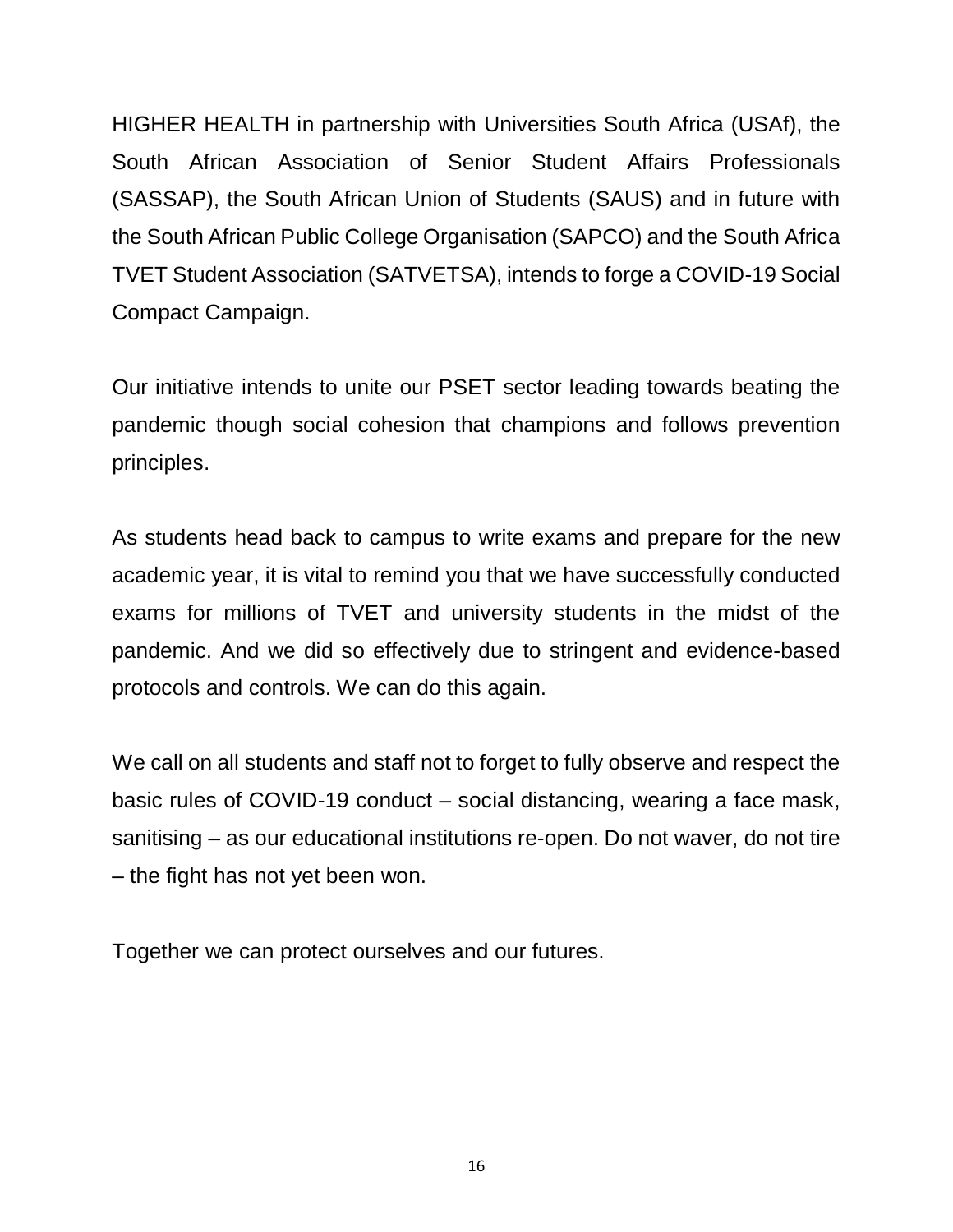HIGHER HEALTH in partnership with Universities South Africa (USAf), the South African Association of Senior Student Affairs Professionals (SASSAP), the South African Union of Students (SAUS) and in future with the South African Public College Organisation (SAPCO) and the South Africa TVET Student Association (SATVETSA), intends to forge a COVID-19 Social Compact Campaign.

Our initiative intends to unite our PSET sector leading towards beating the pandemic though social cohesion that champions and follows prevention principles.

As students head back to campus to write exams and prepare for the new academic year, it is vital to remind you that we have successfully conducted exams for millions of TVET and university students in the midst of the pandemic. And we did so effectively due to stringent and evidence-based protocols and controls. We can do this again.

We call on all students and staff not to forget to fully observe and respect the basic rules of COVID-19 conduct – social distancing, wearing a face mask, sanitising – as our educational institutions re-open. Do not waver, do not tire – the fight has not yet been won.

Together we can protect ourselves and our futures.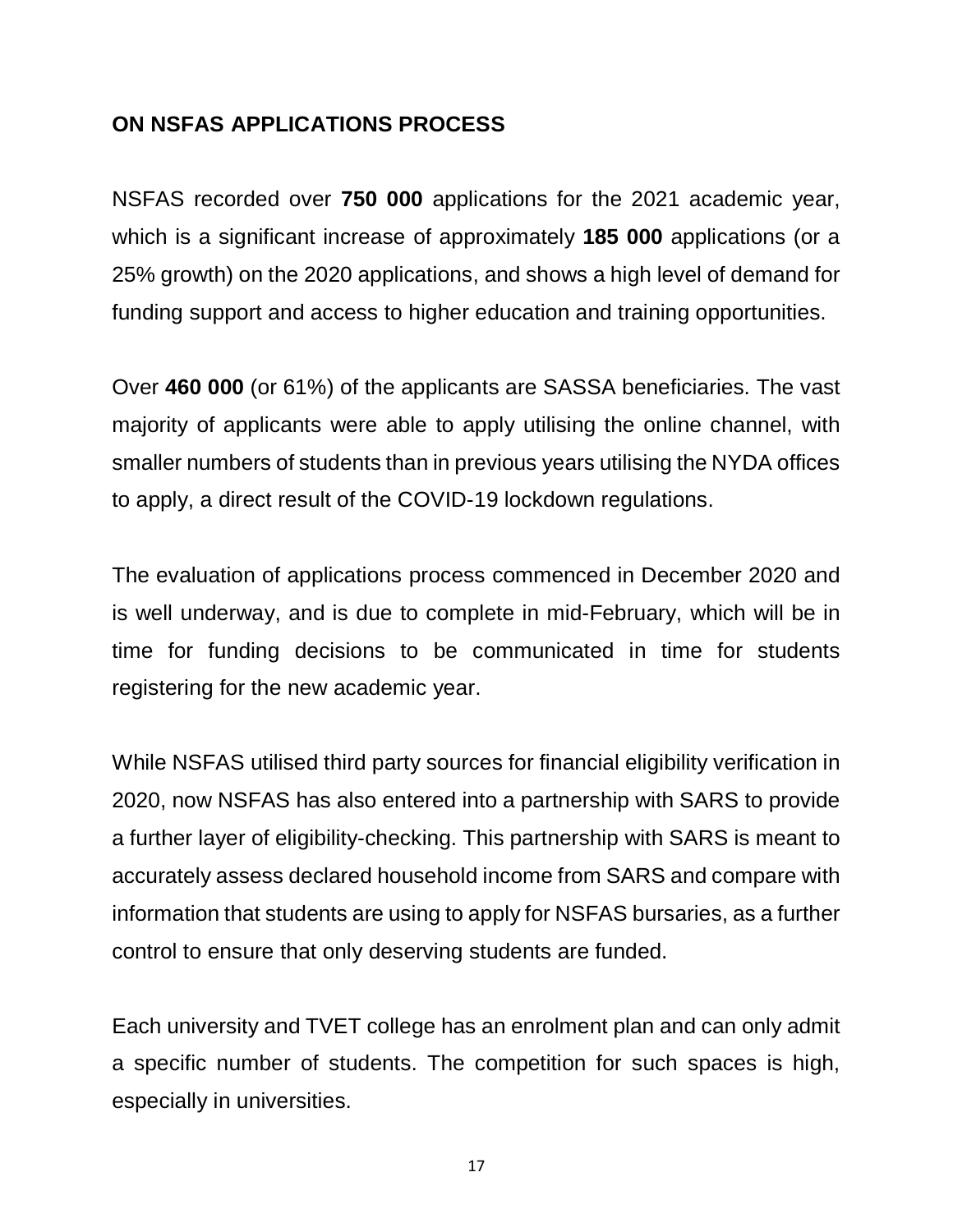## **ON NSFAS APPLICATIONS PROCESS**

NSFAS recorded over **750 000** applications for the 2021 academic year, which is a significant increase of approximately **185 000** applications (or a 25% growth) on the 2020 applications, and shows a high level of demand for funding support and access to higher education and training opportunities.

Over **460 000** (or 61%) of the applicants are SASSA beneficiaries. The vast majority of applicants were able to apply utilising the online channel, with smaller numbers of students than in previous years utilising the NYDA offices to apply, a direct result of the COVID-19 lockdown regulations.

The evaluation of applications process commenced in December 2020 and is well underway, and is due to complete in mid-February, which will be in time for funding decisions to be communicated in time for students registering for the new academic year.

While NSFAS utilised third party sources for financial eligibility verification in 2020, now NSFAS has also entered into a partnership with SARS to provide a further layer of eligibility-checking. This partnership with SARS is meant to accurately assess declared household income from SARS and compare with information that students are using to apply for NSFAS bursaries, as a further control to ensure that only deserving students are funded.

Each university and TVET college has an enrolment plan and can only admit a specific number of students. The competition for such spaces is high, especially in universities.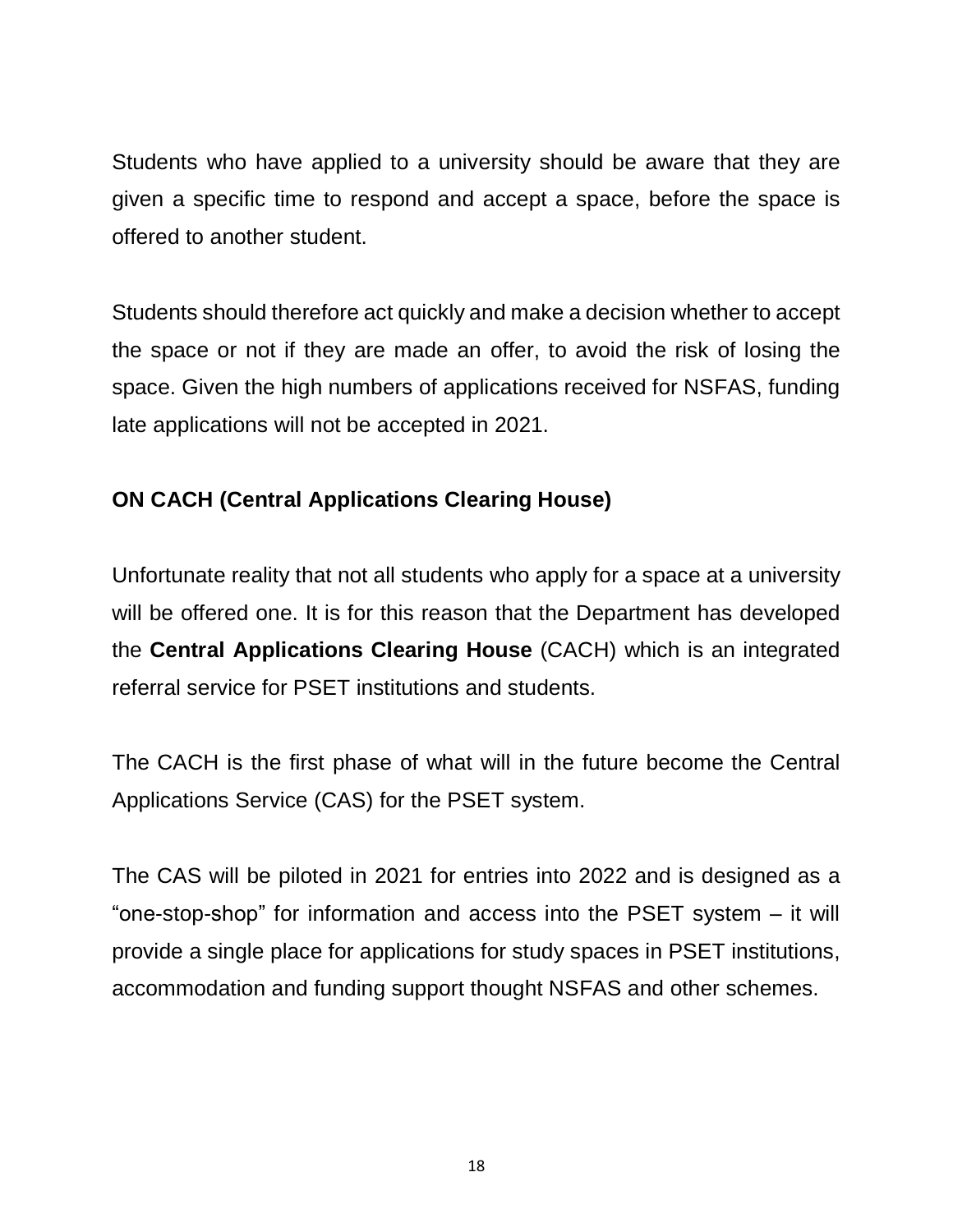Students who have applied to a university should be aware that they are given a specific time to respond and accept a space, before the space is offered to another student.

Students should therefore act quickly and make a decision whether to accept the space or not if they are made an offer, to avoid the risk of losing the space. Given the high numbers of applications received for NSFAS, funding late applications will not be accepted in 2021.

# **ON CACH (Central Applications Clearing House)**

Unfortunate reality that not all students who apply for a space at a university will be offered one. It is for this reason that the Department has developed the **Central Applications Clearing House** (CACH) which is an integrated referral service for PSET institutions and students.

The CACH is the first phase of what will in the future become the Central Applications Service (CAS) for the PSET system.

The CAS will be piloted in 2021 for entries into 2022 and is designed as a "one-stop-shop" for information and access into the PSET system – it will provide a single place for applications for study spaces in PSET institutions, accommodation and funding support thought NSFAS and other schemes.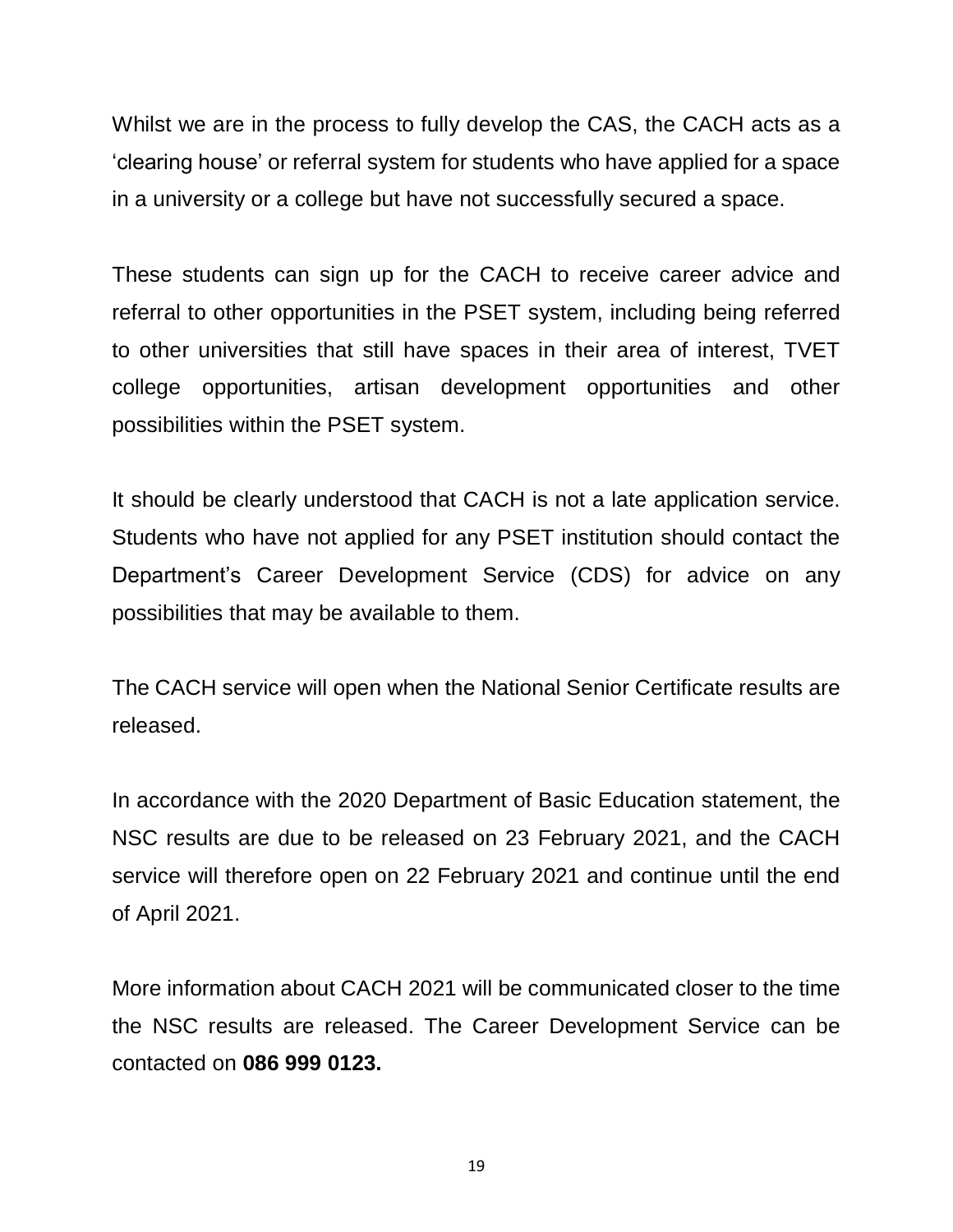Whilst we are in the process to fully develop the CAS, the CACH acts as a 'clearing house' or referral system for students who have applied for a space in a university or a college but have not successfully secured a space.

These students can sign up for the CACH to receive career advice and referral to other opportunities in the PSET system, including being referred to other universities that still have spaces in their area of interest, TVET college opportunities, artisan development opportunities and other possibilities within the PSET system.

It should be clearly understood that CACH is not a late application service. Students who have not applied for any PSET institution should contact the Department's Career Development Service (CDS) for advice on any possibilities that may be available to them.

The CACH service will open when the National Senior Certificate results are released.

In accordance with the 2020 Department of Basic Education statement, the NSC results are due to be released on 23 February 2021, and the CACH service will therefore open on 22 February 2021 and continue until the end of April 2021.

More information about CACH 2021 will be communicated closer to the time the NSC results are released. The Career Development Service can be contacted on **086 999 0123.**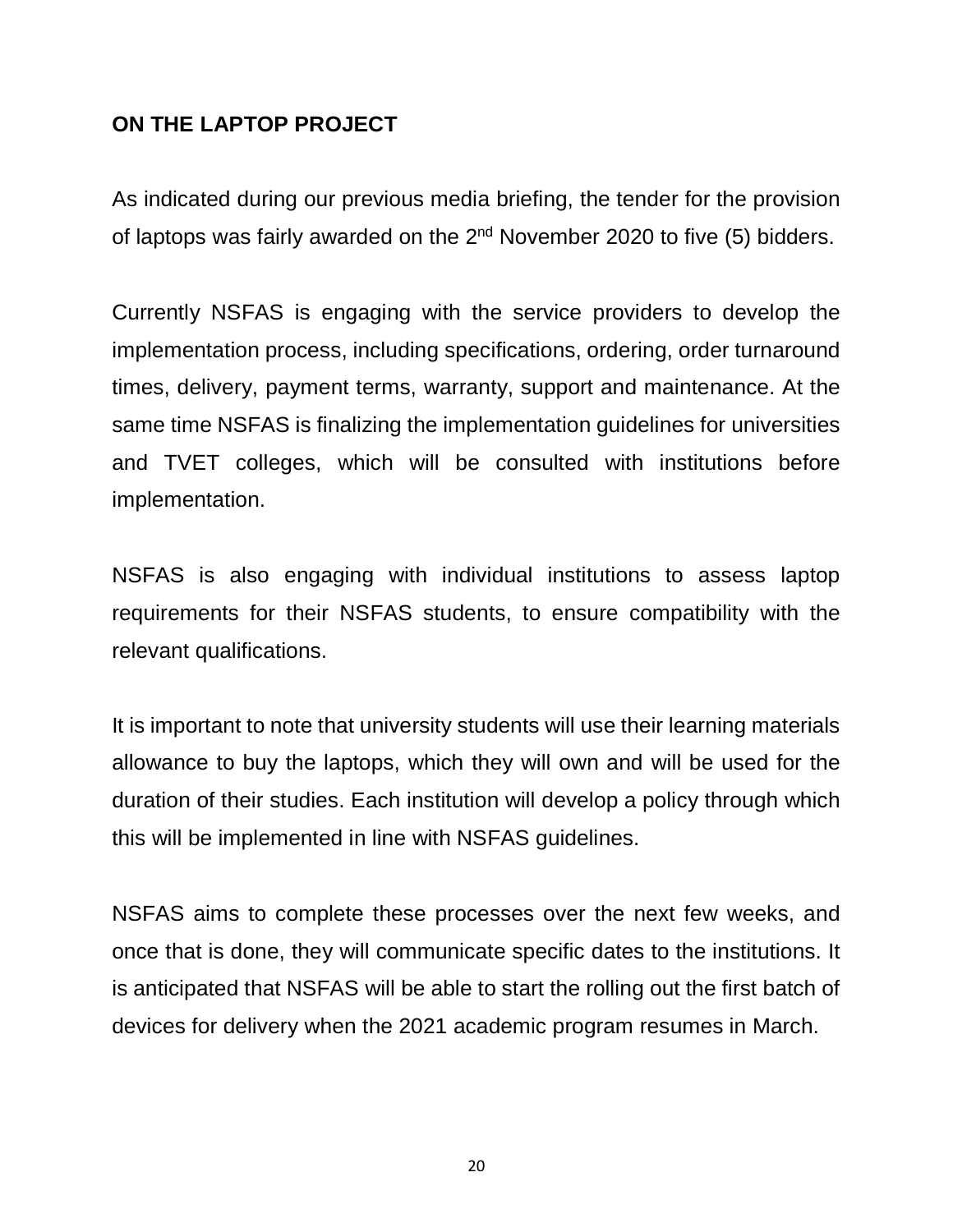# **ON THE LAPTOP PROJECT**

As indicated during our previous media briefing, the tender for the provision of laptops was fairly awarded on the  $2<sup>nd</sup>$  November 2020 to five (5) bidders.

Currently NSFAS is engaging with the service providers to develop the implementation process, including specifications, ordering, order turnaround times, delivery, payment terms, warranty, support and maintenance. At the same time NSFAS is finalizing the implementation guidelines for universities and TVET colleges, which will be consulted with institutions before implementation.

NSFAS is also engaging with individual institutions to assess laptop requirements for their NSFAS students, to ensure compatibility with the relevant qualifications.

It is important to note that university students will use their learning materials allowance to buy the laptops, which they will own and will be used for the duration of their studies. Each institution will develop a policy through which this will be implemented in line with NSFAS guidelines.

NSFAS aims to complete these processes over the next few weeks, and once that is done, they will communicate specific dates to the institutions. It is anticipated that NSFAS will be able to start the rolling out the first batch of devices for delivery when the 2021 academic program resumes in March.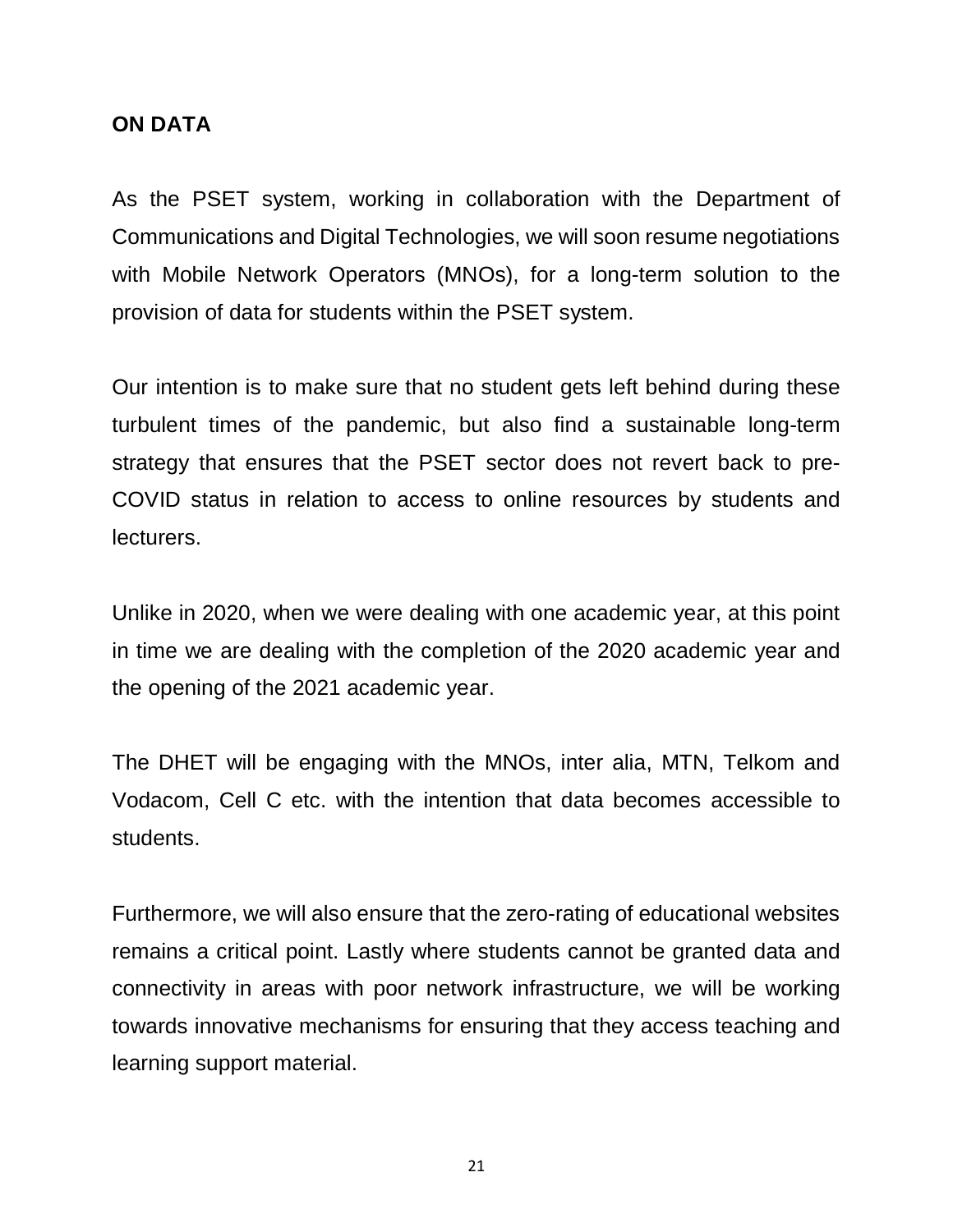#### **ON DATA**

As the PSET system, working in collaboration with the Department of Communications and Digital Technologies, we will soon resume negotiations with Mobile Network Operators (MNOs), for a long-term solution to the provision of data for students within the PSET system.

Our intention is to make sure that no student gets left behind during these turbulent times of the pandemic, but also find a sustainable long-term strategy that ensures that the PSET sector does not revert back to pre-COVID status in relation to access to online resources by students and lecturers.

Unlike in 2020, when we were dealing with one academic year, at this point in time we are dealing with the completion of the 2020 academic year and the opening of the 2021 academic year.

The DHET will be engaging with the MNOs, inter alia, MTN, Telkom and Vodacom, Cell C etc. with the intention that data becomes accessible to students.

Furthermore, we will also ensure that the zero-rating of educational websites remains a critical point. Lastly where students cannot be granted data and connectivity in areas with poor network infrastructure, we will be working towards innovative mechanisms for ensuring that they access teaching and learning support material.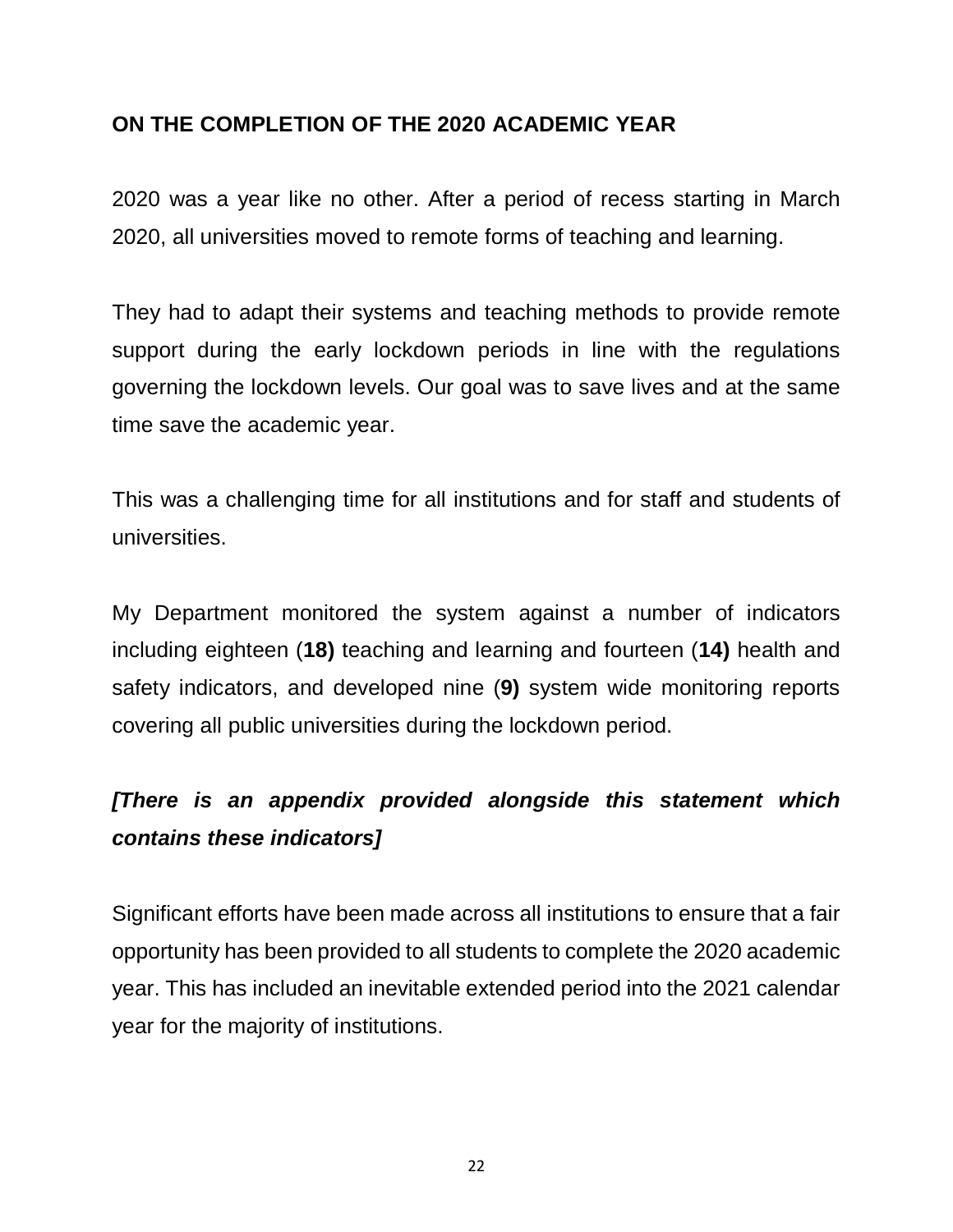# **ON THE COMPLETION OF THE 2020 ACADEMIC YEAR**

2020 was a year like no other. After a period of recess starting in March 2020, all universities moved to remote forms of teaching and learning.

They had to adapt their systems and teaching methods to provide remote support during the early lockdown periods in line with the regulations governing the lockdown levels. Our goal was to save lives and at the same time save the academic year.

This was a challenging time for all institutions and for staff and students of universities.

My Department monitored the system against a number of indicators including eighteen (**18)** teaching and learning and fourteen (**14)** health and safety indicators, and developed nine (**9)** system wide monitoring reports covering all public universities during the lockdown period.

# *[There is an appendix provided alongside this statement which contains these indicators]*

Significant efforts have been made across all institutions to ensure that a fair opportunity has been provided to all students to complete the 2020 academic year. This has included an inevitable extended period into the 2021 calendar year for the majority of institutions.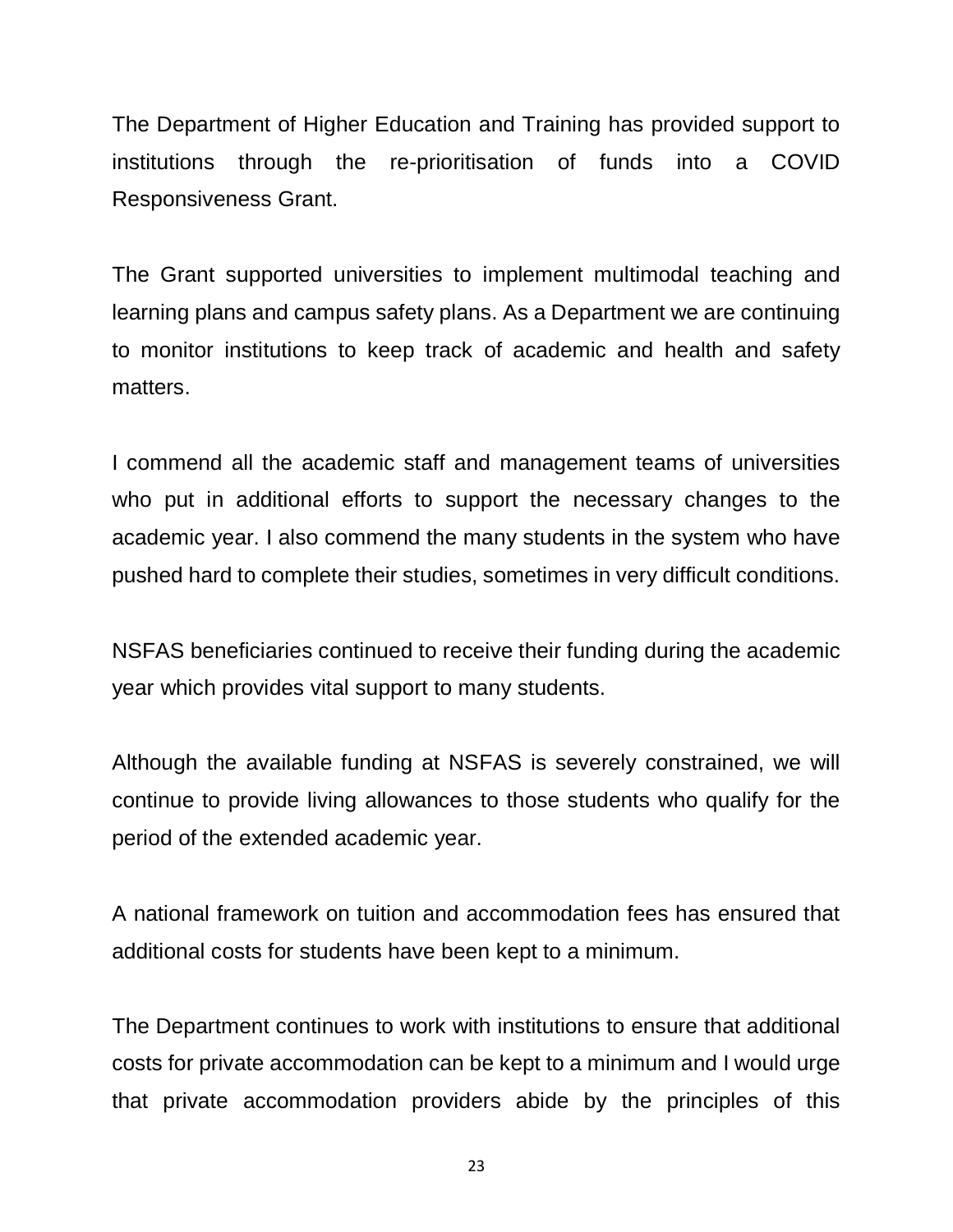The Department of Higher Education and Training has provided support to institutions through the re-prioritisation of funds into a COVID Responsiveness Grant.

The Grant supported universities to implement multimodal teaching and learning plans and campus safety plans. As a Department we are continuing to monitor institutions to keep track of academic and health and safety matters.

I commend all the academic staff and management teams of universities who put in additional efforts to support the necessary changes to the academic year. I also commend the many students in the system who have pushed hard to complete their studies, sometimes in very difficult conditions.

NSFAS beneficiaries continued to receive their funding during the academic year which provides vital support to many students.

Although the available funding at NSFAS is severely constrained, we will continue to provide living allowances to those students who qualify for the period of the extended academic year.

A national framework on tuition and accommodation fees has ensured that additional costs for students have been kept to a minimum.

The Department continues to work with institutions to ensure that additional costs for private accommodation can be kept to a minimum and I would urge that private accommodation providers abide by the principles of this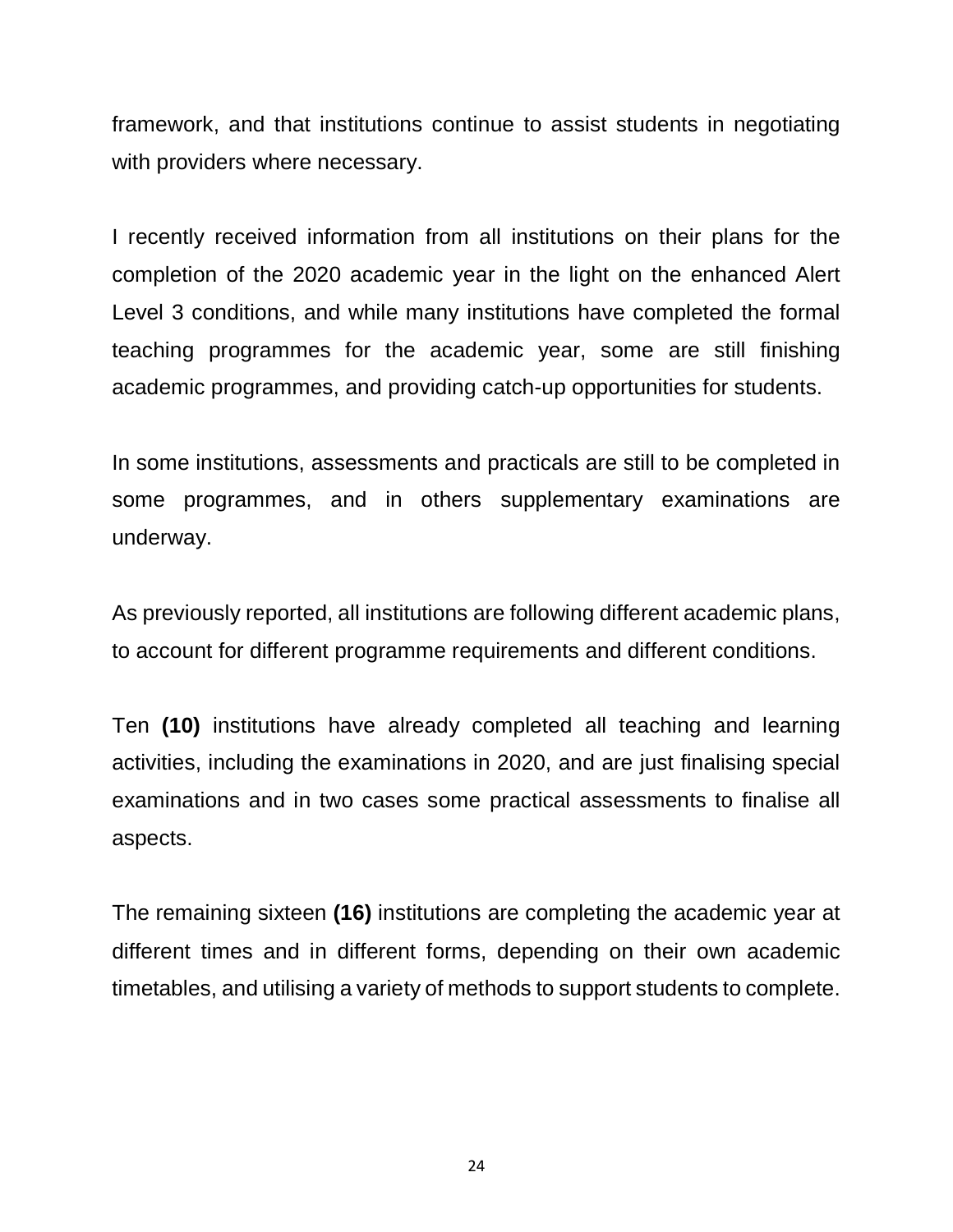framework, and that institutions continue to assist students in negotiating with providers where necessary.

I recently received information from all institutions on their plans for the completion of the 2020 academic year in the light on the enhanced Alert Level 3 conditions, and while many institutions have completed the formal teaching programmes for the academic year, some are still finishing academic programmes, and providing catch-up opportunities for students.

In some institutions, assessments and practicals are still to be completed in some programmes, and in others supplementary examinations are underway.

As previously reported, all institutions are following different academic plans, to account for different programme requirements and different conditions.

Ten **(10)** institutions have already completed all teaching and learning activities, including the examinations in 2020, and are just finalising special examinations and in two cases some practical assessments to finalise all aspects.

The remaining sixteen **(16)** institutions are completing the academic year at different times and in different forms, depending on their own academic timetables, and utilising a variety of methods to support students to complete.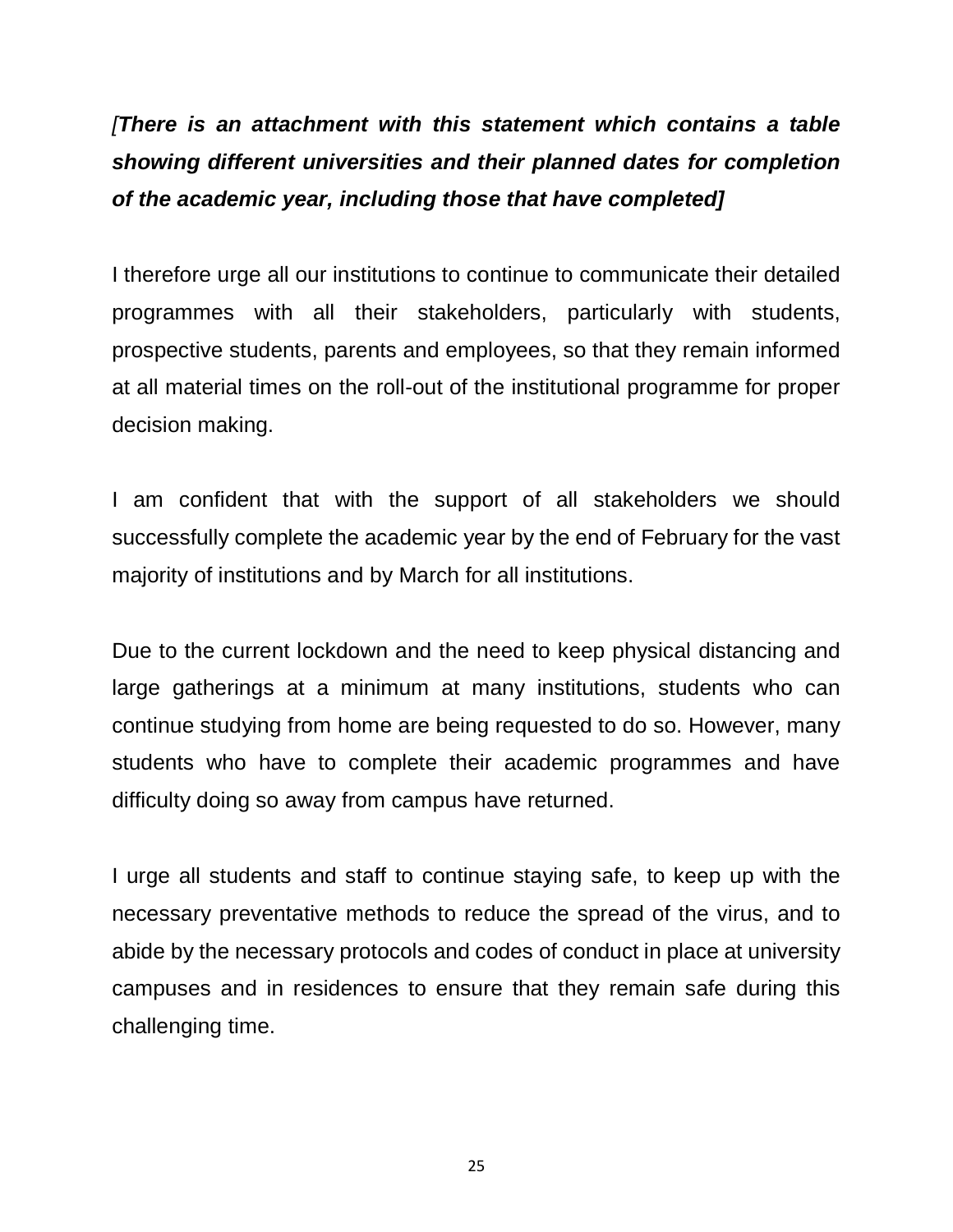*[There is an attachment with this statement which contains a table showing different universities and their planned dates for completion of the academic year, including those that have completed]*

I therefore urge all our institutions to continue to communicate their detailed programmes with all their stakeholders, particularly with students, prospective students, parents and employees, so that they remain informed at all material times on the roll-out of the institutional programme for proper decision making.

I am confident that with the support of all stakeholders we should successfully complete the academic year by the end of February for the vast majority of institutions and by March for all institutions.

Due to the current lockdown and the need to keep physical distancing and large gatherings at a minimum at many institutions, students who can continue studying from home are being requested to do so. However, many students who have to complete their academic programmes and have difficulty doing so away from campus have returned.

I urge all students and staff to continue staying safe, to keep up with the necessary preventative methods to reduce the spread of the virus, and to abide by the necessary protocols and codes of conduct in place at university campuses and in residences to ensure that they remain safe during this challenging time.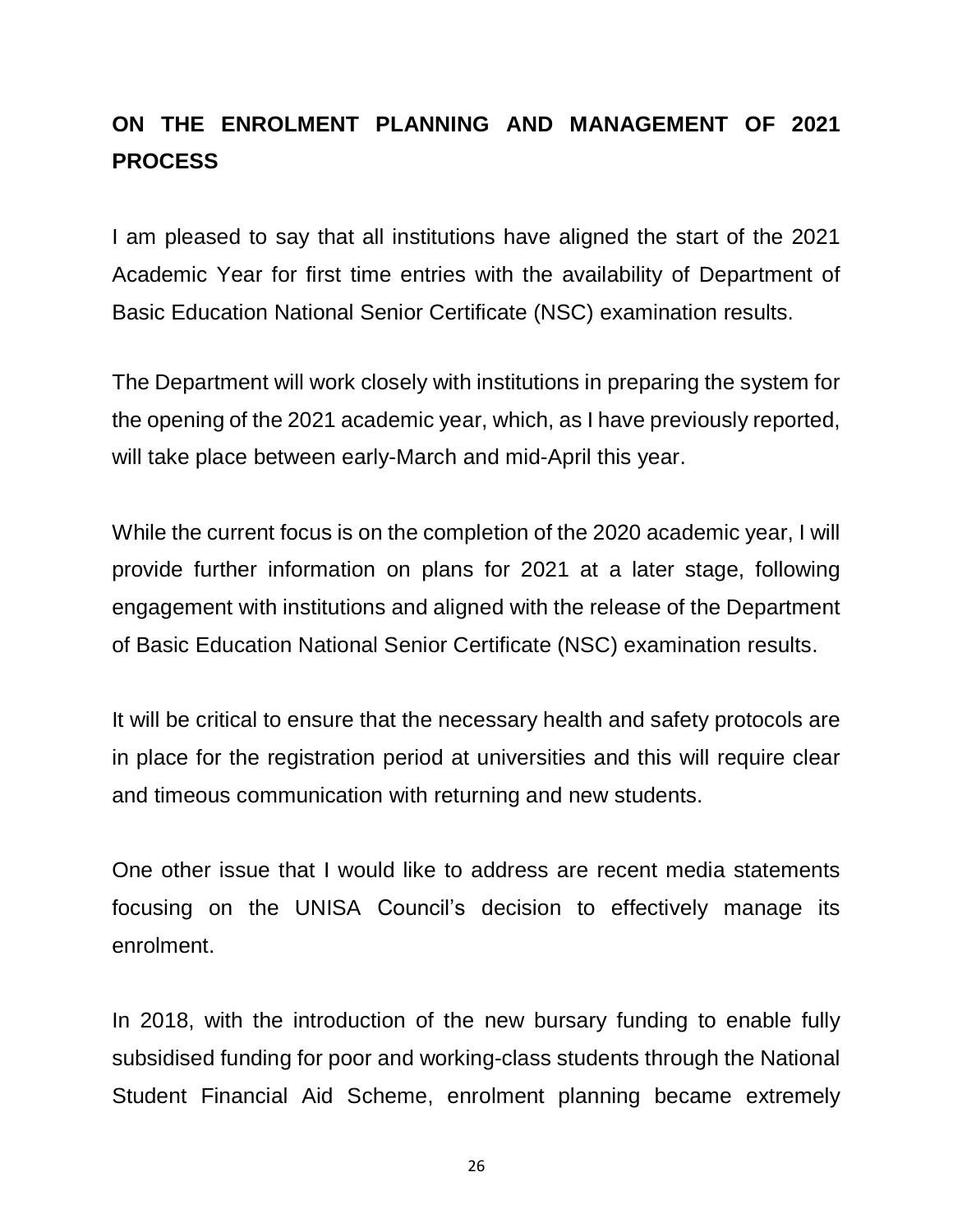# **ON THE ENROLMENT PLANNING AND MANAGEMENT OF 2021 PROCESS**

I am pleased to say that all institutions have aligned the start of the 2021 Academic Year for first time entries with the availability of Department of Basic Education National Senior Certificate (NSC) examination results.

The Department will work closely with institutions in preparing the system for the opening of the 2021 academic year, which, as I have previously reported, will take place between early-March and mid-April this year.

While the current focus is on the completion of the 2020 academic year, I will provide further information on plans for 2021 at a later stage, following engagement with institutions and aligned with the release of the Department of Basic Education National Senior Certificate (NSC) examination results.

It will be critical to ensure that the necessary health and safety protocols are in place for the registration period at universities and this will require clear and timeous communication with returning and new students.

One other issue that I would like to address are recent media statements focusing on the UNISA Council's decision to effectively manage its enrolment.

In 2018, with the introduction of the new bursary funding to enable fully subsidised funding for poor and working-class students through the National Student Financial Aid Scheme, enrolment planning became extremely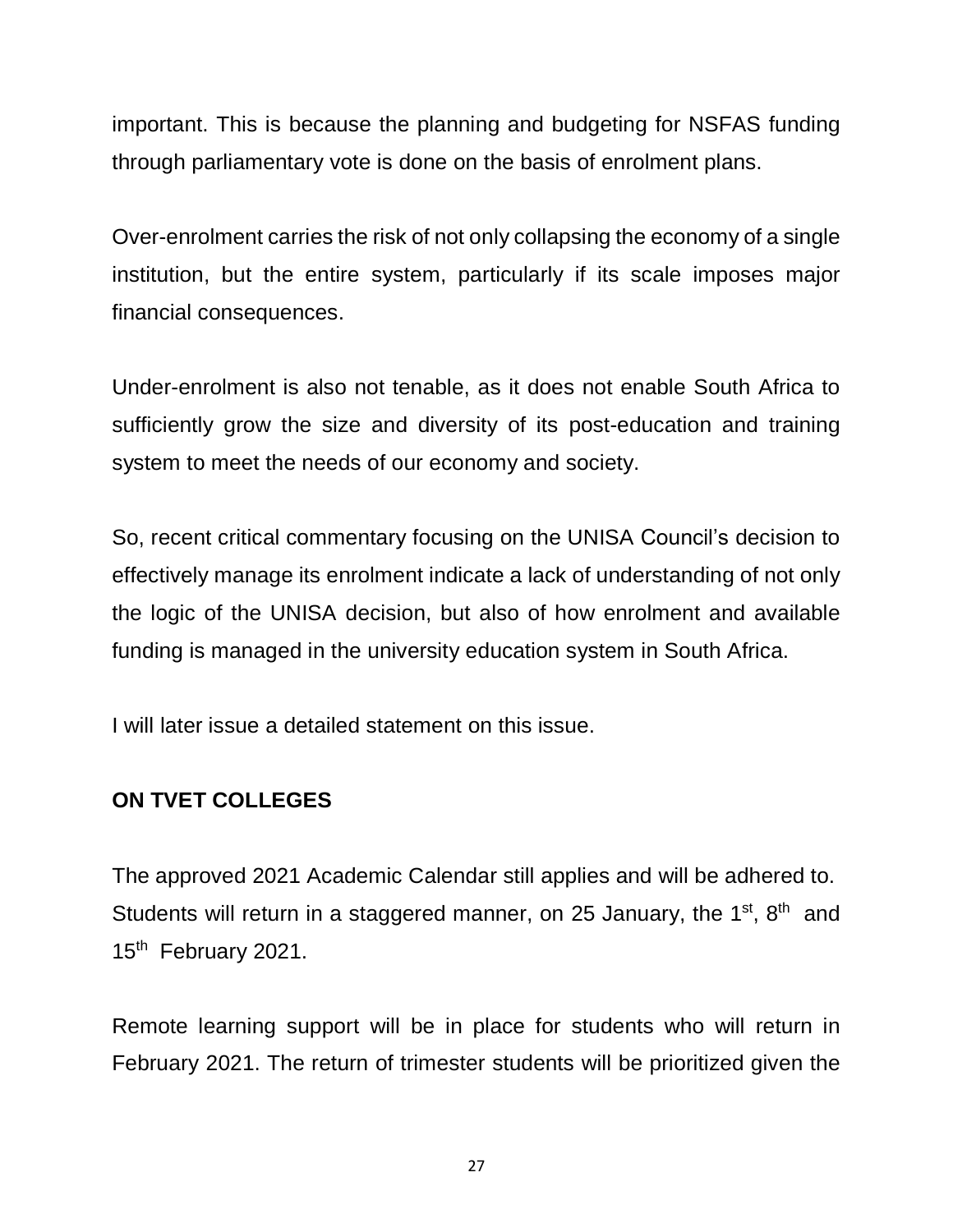important. This is because the planning and budgeting for NSFAS funding through parliamentary vote is done on the basis of enrolment plans.

Over-enrolment carries the risk of not only collapsing the economy of a single institution, but the entire system, particularly if its scale imposes major financial consequences.

Under-enrolment is also not tenable, as it does not enable South Africa to sufficiently grow the size and diversity of its post-education and training system to meet the needs of our economy and society.

So, recent critical commentary focusing on the UNISA Council's decision to effectively manage its enrolment indicate a lack of understanding of not only the logic of the UNISA decision, but also of how enrolment and available funding is managed in the university education system in South Africa.

I will later issue a detailed statement on this issue.

# **ON TVET COLLEGES**

The approved 2021 Academic Calendar still applies and will be adhered to. Students will return in a staggered manner, on 25 January, the  $1<sup>st</sup>$ ,  $8<sup>th</sup>$  and 15<sup>th</sup> February 2021.

Remote learning support will be in place for students who will return in February 2021. The return of trimester students will be prioritized given the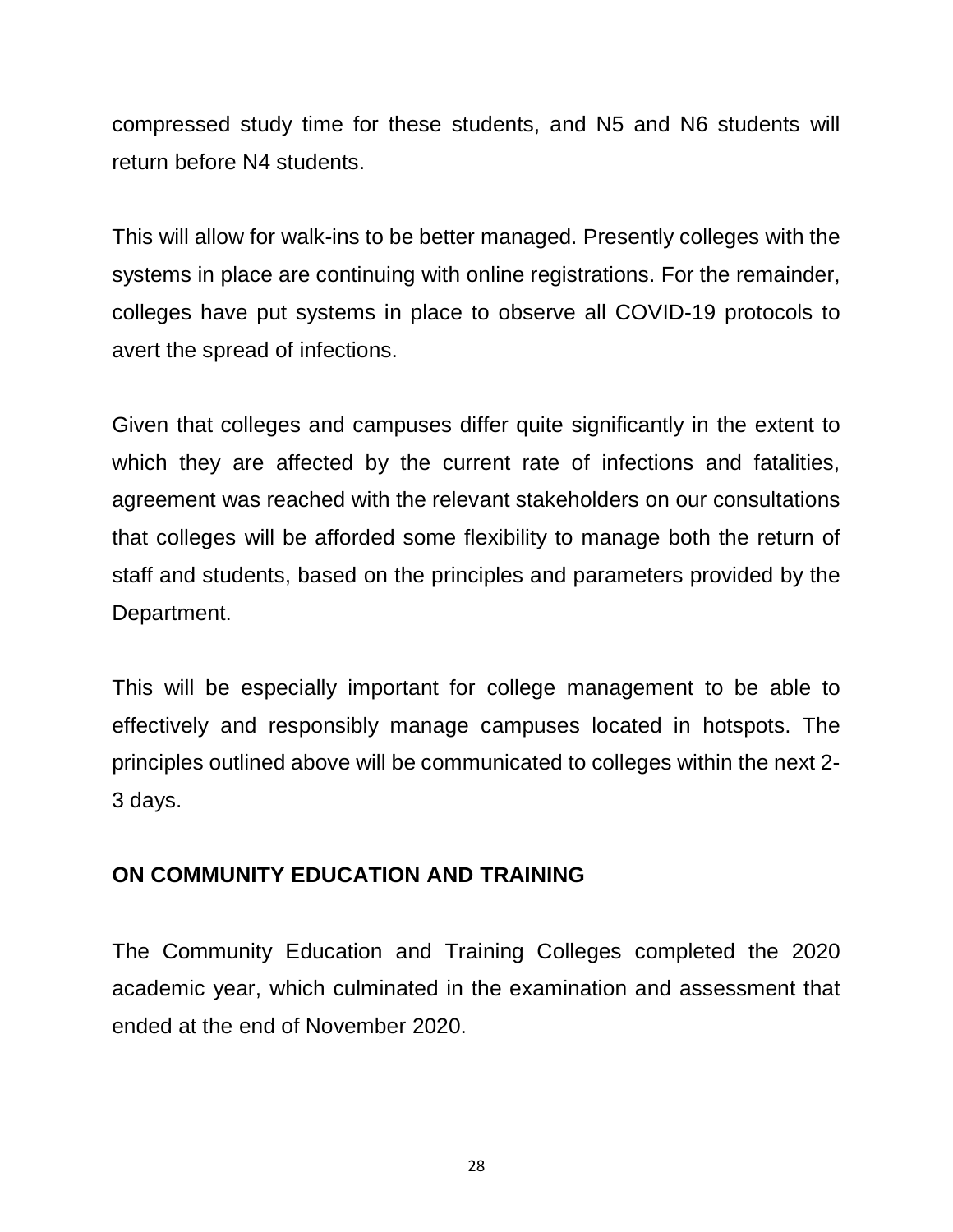compressed study time for these students, and N5 and N6 students will return before N4 students.

This will allow for walk-ins to be better managed. Presently colleges with the systems in place are continuing with online registrations. For the remainder, colleges have put systems in place to observe all COVID-19 protocols to avert the spread of infections.

Given that colleges and campuses differ quite significantly in the extent to which they are affected by the current rate of infections and fatalities, agreement was reached with the relevant stakeholders on our consultations that colleges will be afforded some flexibility to manage both the return of staff and students, based on the principles and parameters provided by the Department.

This will be especially important for college management to be able to effectively and responsibly manage campuses located in hotspots. The principles outlined above will be communicated to colleges within the next 2- 3 days.

# **ON COMMUNITY EDUCATION AND TRAINING**

The Community Education and Training Colleges completed the 2020 academic year, which culminated in the examination and assessment that ended at the end of November 2020.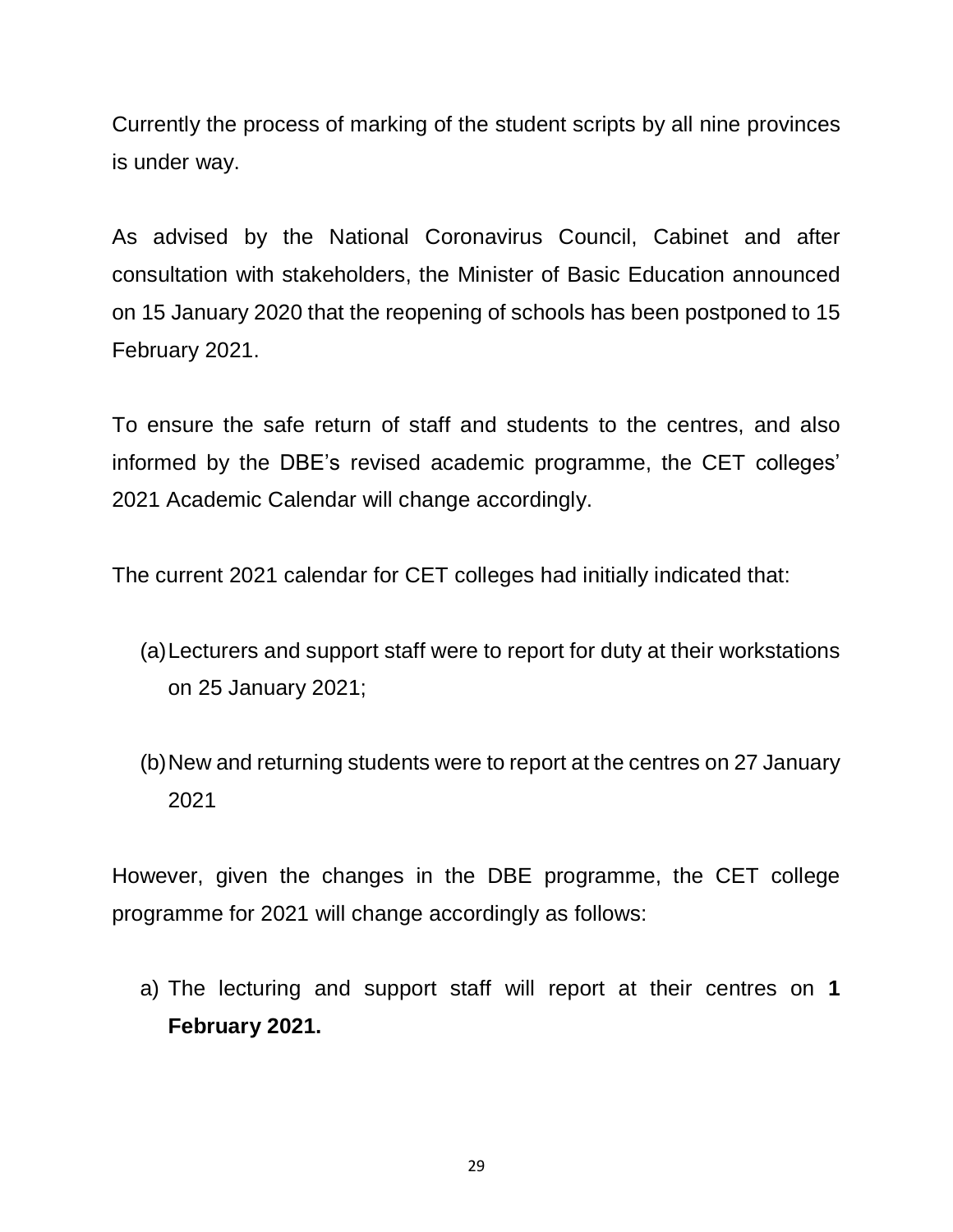Currently the process of marking of the student scripts by all nine provinces is under way.

As advised by the National Coronavirus Council, Cabinet and after consultation with stakeholders, the Minister of Basic Education announced on 15 January 2020 that the reopening of schools has been postponed to 15 February 2021.

To ensure the safe return of staff and students to the centres, and also informed by the DBE's revised academic programme, the CET colleges' 2021 Academic Calendar will change accordingly.

The current 2021 calendar for CET colleges had initially indicated that:

- (a)Lecturers and support staff were to report for duty at their workstations on 25 January 2021;
- (b)New and returning students were to report at the centres on 27 January 2021

However, given the changes in the DBE programme, the CET college programme for 2021 will change accordingly as follows:

a) The lecturing and support staff will report at their centres on **1 February 2021.**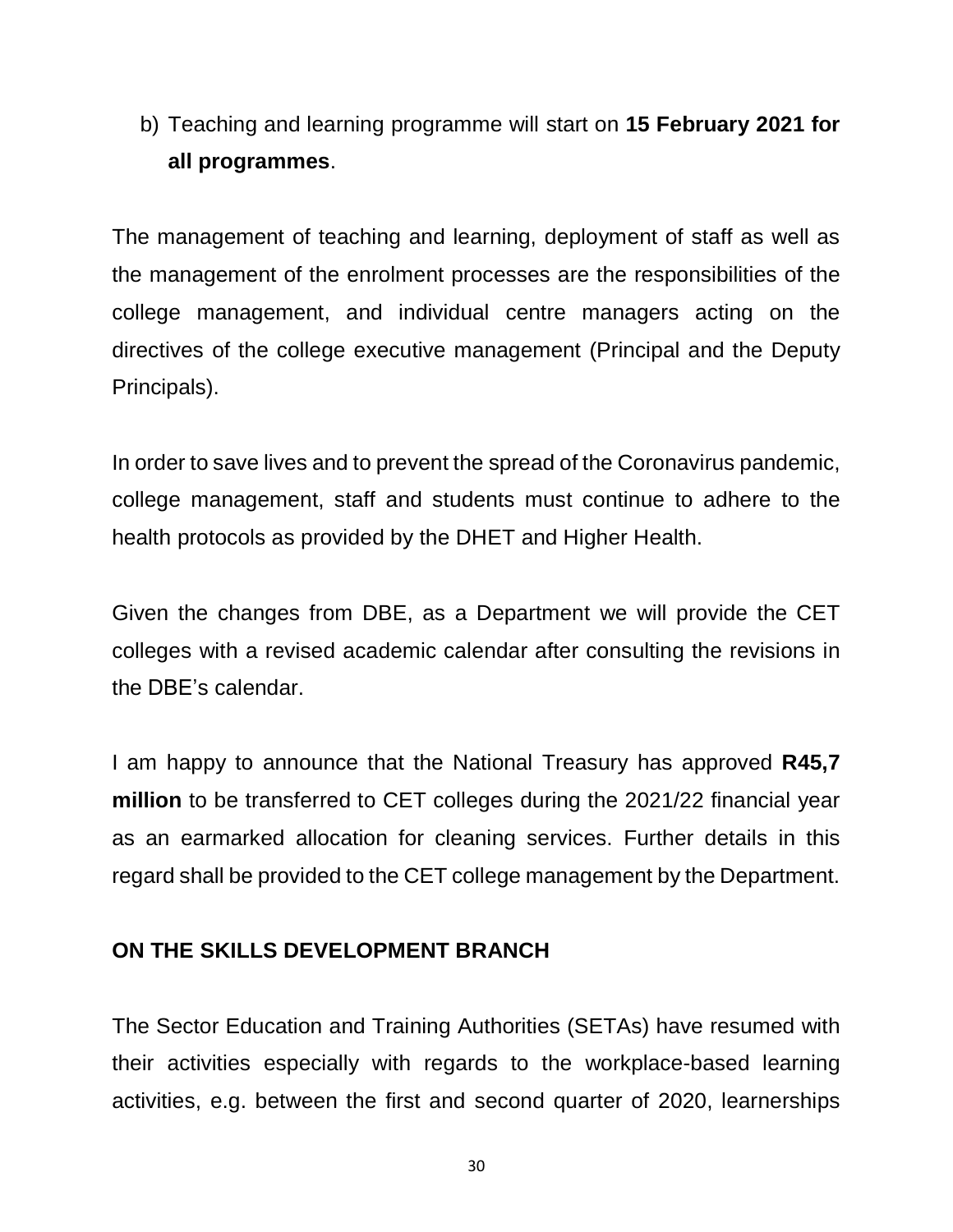b) Teaching and learning programme will start on **15 February 2021 for all programmes**.

The management of teaching and learning, deployment of staff as well as the management of the enrolment processes are the responsibilities of the college management, and individual centre managers acting on the directives of the college executive management (Principal and the Deputy Principals).

In order to save lives and to prevent the spread of the Coronavirus pandemic, college management, staff and students must continue to adhere to the health protocols as provided by the DHET and Higher Health.

Given the changes from DBE, as a Department we will provide the CET colleges with a revised academic calendar after consulting the revisions in the DBE's calendar.

I am happy to announce that the National Treasury has approved **R45,7 million** to be transferred to CET colleges during the 2021/22 financial year as an earmarked allocation for cleaning services. Further details in this regard shall be provided to the CET college management by the Department.

## **ON THE SKILLS DEVELOPMENT BRANCH**

The Sector Education and Training Authorities (SETAs) have resumed with their activities especially with regards to the workplace-based learning activities, e.g. between the first and second quarter of 2020, learnerships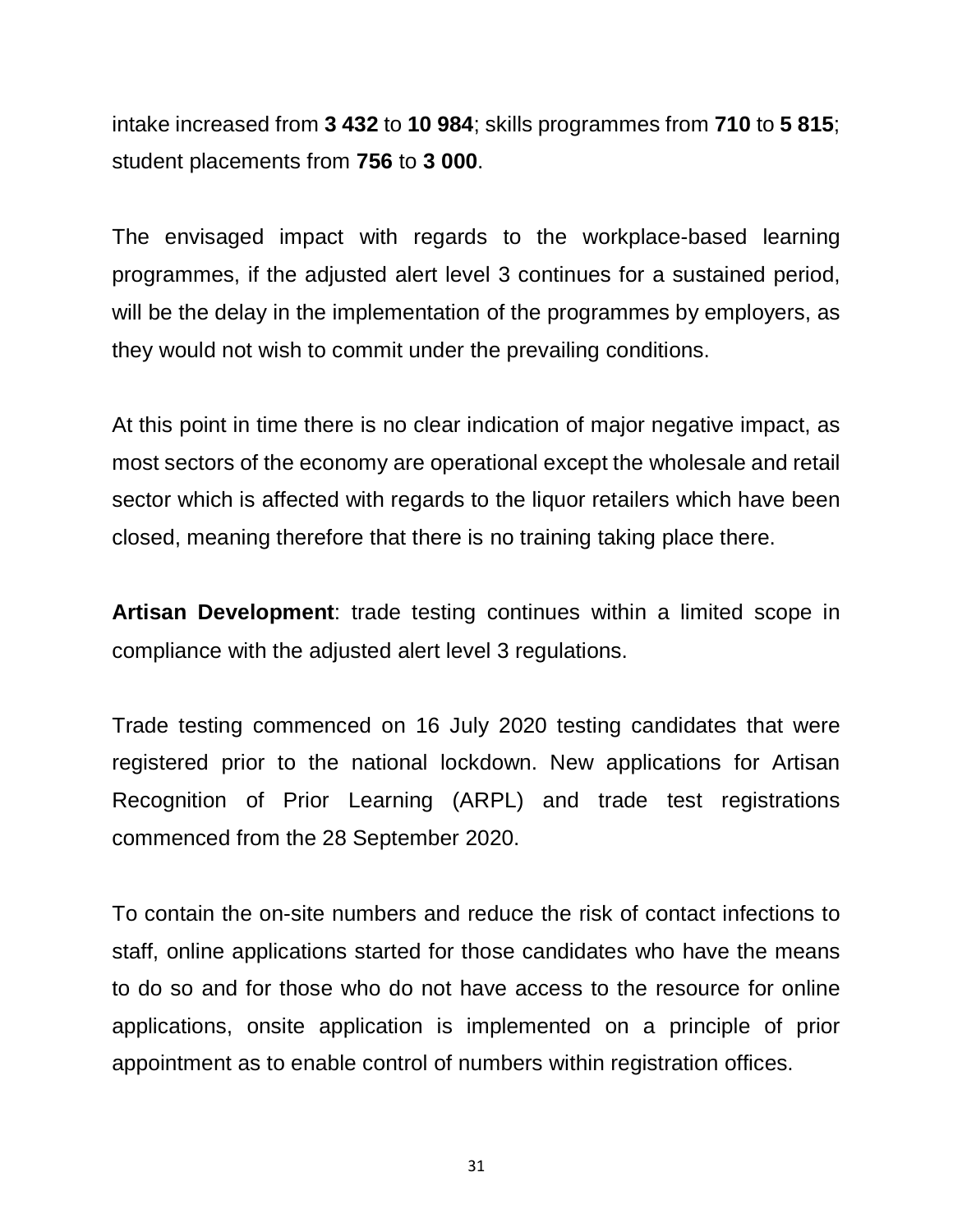intake increased from **3 432** to **10 984**; skills programmes from **710** to **5 815**; student placements from **756** to **3 000**.

The envisaged impact with regards to the workplace-based learning programmes, if the adjusted alert level 3 continues for a sustained period, will be the delay in the implementation of the programmes by employers, as they would not wish to commit under the prevailing conditions.

At this point in time there is no clear indication of major negative impact, as most sectors of the economy are operational except the wholesale and retail sector which is affected with regards to the liquor retailers which have been closed, meaning therefore that there is no training taking place there.

**Artisan Development**: trade testing continues within a limited scope in compliance with the adjusted alert level 3 regulations.

Trade testing commenced on 16 July 2020 testing candidates that were registered prior to the national lockdown. New applications for Artisan Recognition of Prior Learning (ARPL) and trade test registrations commenced from the 28 September 2020.

To contain the on-site numbers and reduce the risk of contact infections to staff, online applications started for those candidates who have the means to do so and for those who do not have access to the resource for online applications, onsite application is implemented on a principle of prior appointment as to enable control of numbers within registration offices.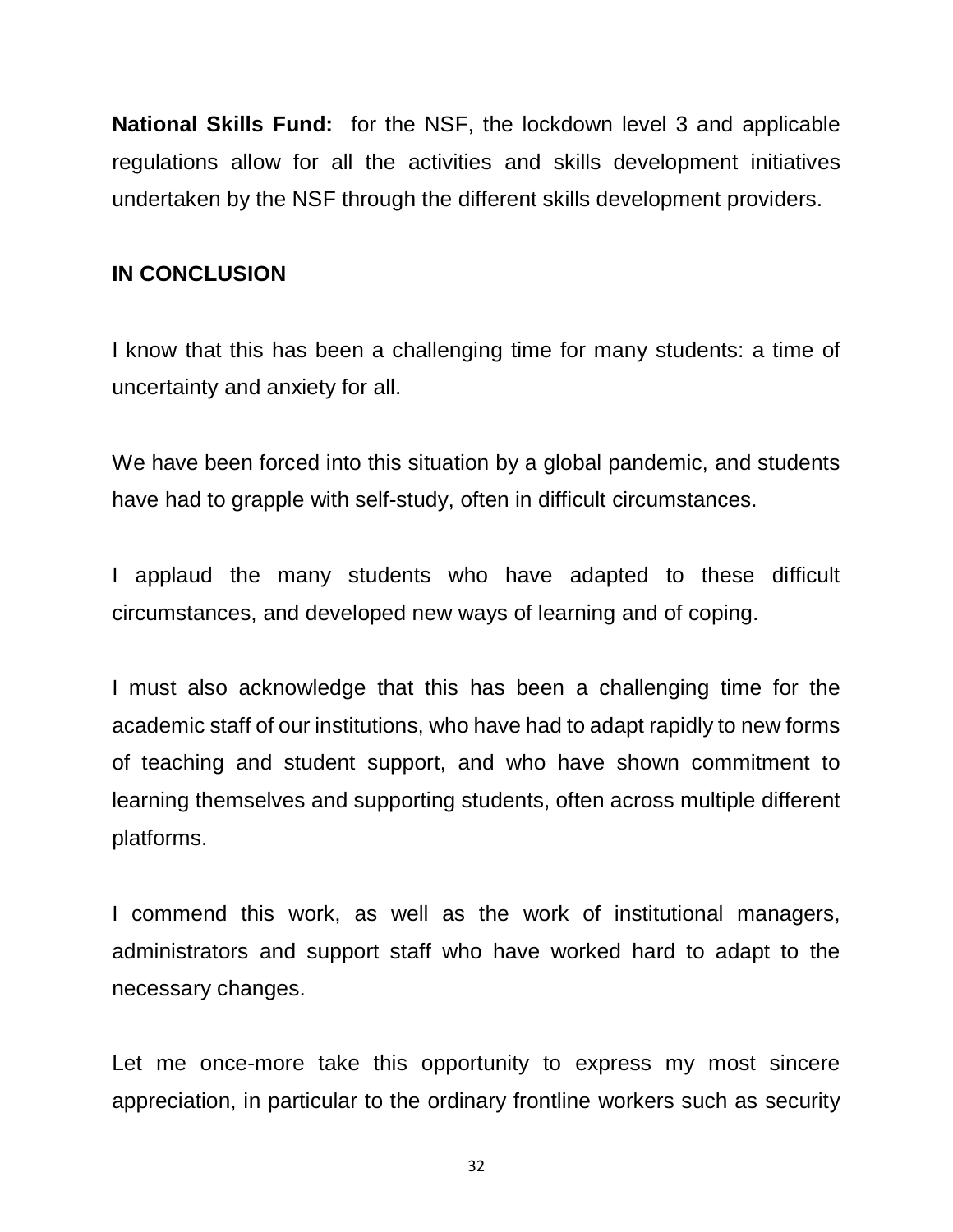**National Skills Fund:** for the NSF, the lockdown level 3 and applicable regulations allow for all the activities and skills development initiatives undertaken by the NSF through the different skills development providers.

#### **IN CONCLUSION**

I know that this has been a challenging time for many students: a time of uncertainty and anxiety for all.

We have been forced into this situation by a global pandemic, and students have had to grapple with self-study, often in difficult circumstances.

I applaud the many students who have adapted to these difficult circumstances, and developed new ways of learning and of coping.

I must also acknowledge that this has been a challenging time for the academic staff of our institutions, who have had to adapt rapidly to new forms of teaching and student support, and who have shown commitment to learning themselves and supporting students, often across multiple different platforms.

I commend this work, as well as the work of institutional managers, administrators and support staff who have worked hard to adapt to the necessary changes.

Let me once-more take this opportunity to express my most sincere appreciation, in particular to the ordinary frontline workers such as security